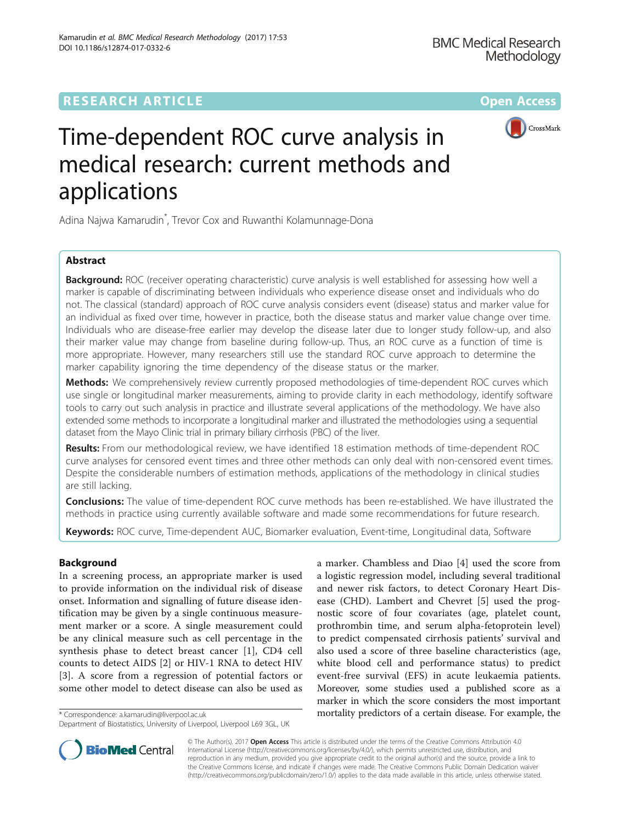DOI 10.1186/s12874-017-0332-6

Kamarudin et al. BMC Medical Research Methodology (2017) 17:53



# Time-dependent ROC curve analysis in medical research: current methods and applications

Adina Najwa Kamarudin\* , Trevor Cox and Ruwanthi Kolamunnage-Dona

# Abstract

**Background:** ROC (receiver operating characteristic) curve analysis is well established for assessing how well a marker is capable of discriminating between individuals who experience disease onset and individuals who do not. The classical (standard) approach of ROC curve analysis considers event (disease) status and marker value for an individual as fixed over time, however in practice, both the disease status and marker value change over time. Individuals who are disease-free earlier may develop the disease later due to longer study follow-up, and also their marker value may change from baseline during follow-up. Thus, an ROC curve as a function of time is more appropriate. However, many researchers still use the standard ROC curve approach to determine the marker capability ignoring the time dependency of the disease status or the marker.

Methods: We comprehensively review currently proposed methodologies of time-dependent ROC curves which use single or longitudinal marker measurements, aiming to provide clarity in each methodology, identify software tools to carry out such analysis in practice and illustrate several applications of the methodology. We have also extended some methods to incorporate a longitudinal marker and illustrated the methodologies using a sequential dataset from the Mayo Clinic trial in primary biliary cirrhosis (PBC) of the liver.

Results: From our methodological review, we have identified 18 estimation methods of time-dependent ROC curve analyses for censored event times and three other methods can only deal with non-censored event times. Despite the considerable numbers of estimation methods, applications of the methodology in clinical studies are still lacking.

**Conclusions:** The value of time-dependent ROC curve methods has been re-established. We have illustrated the methods in practice using currently available software and made some recommendations for future research.

Keywords: ROC curve, Time-dependent AUC, Biomarker evaluation, Event-time, Longitudinal data, Software

# Background

In a screening process, an appropriate marker is used to provide information on the individual risk of disease onset. Information and signalling of future disease identification may be given by a single continuous measurement marker or a score. A single measurement could be any clinical measure such as cell percentage in the synthesis phase to detect breast cancer [[1](#page-17-0)], CD4 cell counts to detect AIDS [[2\]](#page-17-0) or HIV-1 RNA to detect HIV [[3\]](#page-17-0). A score from a regression of potential factors or some other model to detect disease can also be used as

Department of Biostatistics, University of Liverpool, Liverpool L69 3GL, UK

a marker. Chambless and Diao [[4](#page-17-0)] used the score from a logistic regression model, including several traditional and newer risk factors, to detect Coronary Heart Disease (CHD). Lambert and Chevret [[5\]](#page-17-0) used the prognostic score of four covariates (age, platelet count, prothrombin time, and serum alpha-fetoprotein level) to predict compensated cirrhosis patients' survival and also used a score of three baseline characteristics (age, white blood cell and performance status) to predict event-free survival (EFS) in acute leukaemia patients. Moreover, some studies used a published score as a marker in which the score considers the most important \* Correspondence: [a.kamarudin@liverpool.ac.uk](mailto:a.kamarudin@liverpool.ac.uk) mortality predictors of a certain disease. For example, the



© The Author(s). 2017 **Open Access** This article is distributed under the terms of the Creative Commons Attribution 4.0 International License [\(http://creativecommons.org/licenses/by/4.0/](http://creativecommons.org/licenses/by/4.0/)), which permits unrestricted use, distribution, and reproduction in any medium, provided you give appropriate credit to the original author(s) and the source, provide a link to the Creative Commons license, and indicate if changes were made. The Creative Commons Public Domain Dedication waiver [\(http://creativecommons.org/publicdomain/zero/1.0/](http://creativecommons.org/publicdomain/zero/1.0/)) applies to the data made available in this article, unless otherwise stated.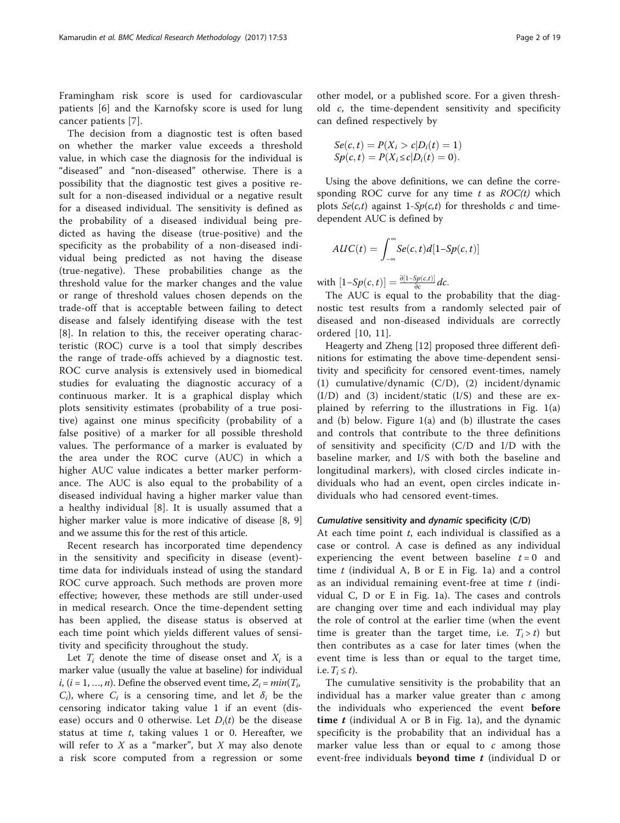Framingham risk score is used for cardiovascular patients [[6\]](#page-17-0) and the Karnofsky score is used for lung cancer patients [\[7](#page-17-0)].

The decision from a diagnostic test is often based on whether the marker value exceeds a threshold value, in which case the diagnosis for the individual is "diseased" and "non-diseased" otherwise. There is a possibility that the diagnostic test gives a positive result for a non-diseased individual or a negative result for a diseased individual. The sensitivity is defined as the probability of a diseased individual being predicted as having the disease (true-positive) and the specificity as the probability of a non-diseased individual being predicted as not having the disease (true-negative). These probabilities change as the threshold value for the marker changes and the value or range of threshold values chosen depends on the trade-off that is acceptable between failing to detect disease and falsely identifying disease with the test [[8\]](#page-17-0). In relation to this, the receiver operating characteristic (ROC) curve is a tool that simply describes the range of trade-offs achieved by a diagnostic test. ROC curve analysis is extensively used in biomedical studies for evaluating the diagnostic accuracy of a continuous marker. It is a graphical display which plots sensitivity estimates (probability of a true positive) against one minus specificity (probability of a false positive) of a marker for all possible threshold values. The performance of a marker is evaluated by the area under the ROC curve (AUC) in which a higher AUC value indicates a better marker performance. The AUC is also equal to the probability of a diseased individual having a higher marker value than a healthy individual [[8\]](#page-17-0). It is usually assumed that a higher marker value is more indicative of disease [\[8](#page-17-0), [9](#page-17-0)] and we assume this for the rest of this article.

Recent research has incorporated time dependency in the sensitivity and specificity in disease (event) time data for individuals instead of using the standard ROC curve approach. Such methods are proven more effective; however, these methods are still under-used in medical research. Once the time-dependent setting has been applied, the disease status is observed at each time point which yields different values of sensitivity and specificity throughout the study.

Let  $T_i$  denote the time of disease onset and  $X_i$  is a marker value (usually the value at baseline) for individual *i*, (*i* = 1, ..., *n*). Define the observed event time,  $Z_i = min(T_i)$  $C_i$ ), where  $C_i$  is a censoring time, and let  $\delta_i$  be the censoring indicator taking value 1 if an event (disease) occurs and 0 otherwise. Let  $D_i(t)$  be the disease status at time  $t$ , taking values 1 or 0. Hereafter, we will refer to  $X$  as a "marker", but  $X$  may also denote a risk score computed from a regression or some

other model, or a published score. For a given threshold  $c$ , the time-dependent sensitivity and specificity can defined respectively by

$$
Se(c, t) = P(Xi > c | Di(t) = 1) Sp(c, t) = P(Xi \le c | Di(t) = 0).
$$

Using the above definitions, we can define the corresponding ROC curve for any time  $t$  as  $ROC(t)$  which plots  $Se(c,t)$  against 1-Sp(c,t) for thresholds c and timedependent AUC is defined by

$$
AUC(t) = \int_{-\infty}^{\infty} Se(c, t)d[1 - Sp(c, t)]
$$

with  $[1-Sp(c,t)] = \frac{\partial [1-Sp(c,t)]}{\partial c} dc.$ <br>The AUC is equal to the i

The AUC is equal to the probability that the diagnostic test results from a randomly selected pair of diseased and non-diseased individuals are correctly ordered [\[10](#page-18-0), [11](#page-18-0)].

Heagerty and Zheng [\[12](#page-18-0)] proposed three different definitions for estimating the above time-dependent sensitivity and specificity for censored event-times, namely (1) cumulative/dynamic (C/D), (2) incident/dynamic (I/D) and (3) incident/static (I/S) and these are explained by referring to the illustrations in Fig. [1\(a\)](#page-2-0) [and \(b\)](#page-2-0) below. Figure [1\(a\) and \(b\)](#page-2-0) illustrate the cases and controls that contribute to the three definitions of sensitivity and specificity (C/D and I/D with the baseline marker, and I/S with both the baseline and longitudinal markers), with closed circles indicate individuals who had an event, open circles indicate individuals who had censored event-times.

# Cumulative sensitivity and dynamic specificity (C/D)

At each time point  $t$ , each individual is classified as a case or control. A case is defined as any individual experiencing the event between baseline  $t = 0$  and time  $t$  (individual A, B or E in Fig. [1a\)](#page-2-0) and a control as an individual remaining event-free at time  $t$  (individual C, D or E in Fig. [1a\)](#page-2-0). The cases and controls are changing over time and each individual may play the role of control at the earlier time (when the event time is greater than the target time, i.e.  $T_i > t$ ) but then contributes as a case for later times (when the event time is less than or equal to the target time, i.e.  $T_i \leq t$ ).

The cumulative sensitivity is the probability that an individual has a marker value greater than  $c$  among the individuals who experienced the event before **time t** (individual A or B in Fig. [1a\)](#page-2-0), and the dynamic specificity is the probability that an individual has a marker value less than or equal to  $c$  among those event-free individuals **beyond time**  $t$  (individual D or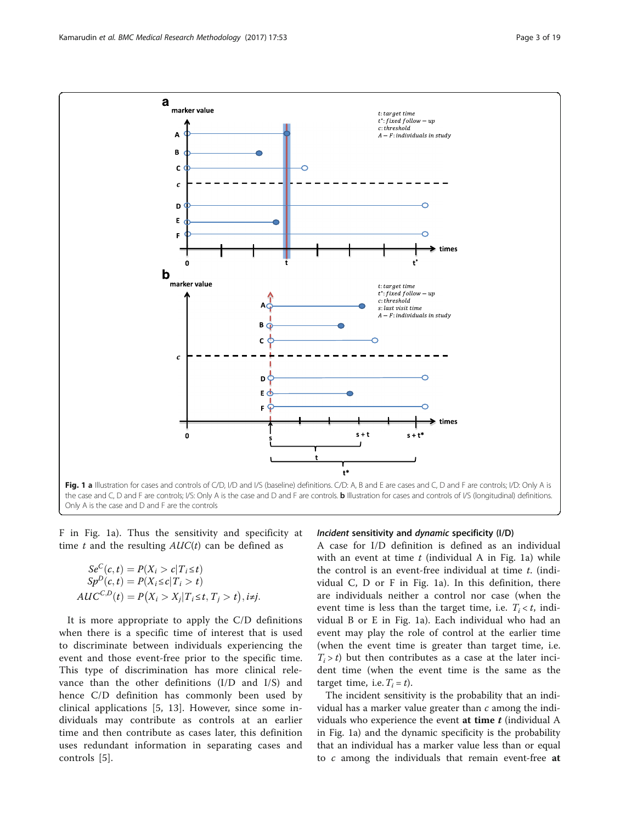<span id="page-2-0"></span>

F in Fig. 1a). Thus the sensitivity and specificity at time t and the resulting  $AUC(t)$  can be defined as

$$
SeC(c, t) = P(Xi > c | Ti \le t)
$$
  
\n
$$
SpD(c, t) = P(Xi \le c | Ti > t)
$$
  
\n
$$
AUCC,D(t) = P(Xi > Xj | Ti \le t, Tj > t), i \ne j.
$$

It is more appropriate to apply the C/D definitions when there is a specific time of interest that is used to discriminate between individuals experiencing the event and those event-free prior to the specific time. This type of discrimination has more clinical relevance than the other definitions (I/D and I/S) and hence C/D definition has commonly been used by clinical applications [[5,](#page-17-0) [13\]](#page-18-0). However, since some individuals may contribute as controls at an earlier time and then contribute as cases later, this definition uses redundant information in separating cases and controls [[5](#page-17-0)].

# Incident sensitivity and dynamic specificity (I/D)

A case for I/D definition is defined as an individual with an event at time  $t$  (individual A in Fig. 1a) while the control is an event-free individual at time  $t$ . (individual C, D or F in Fig. 1a). In this definition, there are individuals neither a control nor case (when the event time is less than the target time, i.e.  $T_i < t$ , individual B or E in Fig. 1a). Each individual who had an event may play the role of control at the earlier time (when the event time is greater than target time, i.e.  $T<sub>i</sub> > t$ ) but then contributes as a case at the later incident time (when the event time is the same as the target time, i.e.  $T_i = t$ ).

The incident sensitivity is the probability that an individual has a marker value greater than  $c$  among the individuals who experience the event **at time**  $t$  (individual A in Fig. 1a) and the dynamic specificity is the probability that an individual has a marker value less than or equal to  $c$  among the individuals that remain event-free at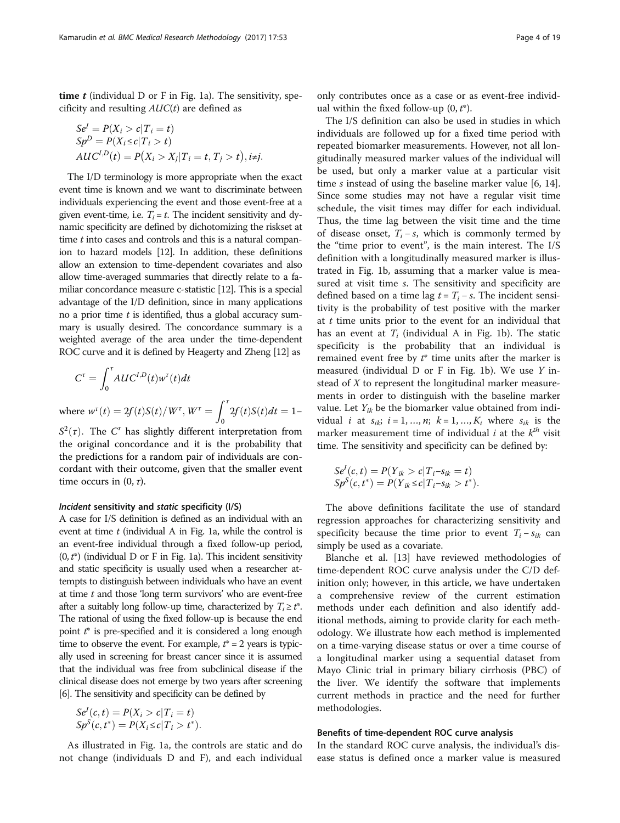time  $t$  (individual D or F in Fig. [1a](#page-2-0)). The sensitivity, specificity and resulting  $AUC(t)$  are defined as

$$
SeI = P(Xi > c | Ti = t)
$$
  
\n
$$
SpD = P(Xi \le c | Ti > t)
$$
  
\n
$$
AUCI,D(t) = P(Xi > Xj | Ti = t, Tj > t), i \ne j.
$$

The I/D terminology is more appropriate when the exact event time is known and we want to discriminate between individuals experiencing the event and those event-free at a given event-time, i.e.  $T_i = t$ . The incident sensitivity and dynamic specificity are defined by dichotomizing the riskset at time  $t$  into cases and controls and this is a natural companion to hazard models [[12\]](#page-18-0). In addition, these definitions allow an extension to time-dependent covariates and also allow time-averaged summaries that directly relate to a familiar concordance measure c-statistic [\[12\]](#page-18-0). This is a special advantage of the I/D definition, since in many applications no a prior time  $t$  is identified, thus a global accuracy summary is usually desired. The concordance summary is a weighted average of the area under the time-dependent ROC curve and it is defined by Heagerty and Zheng [[12\]](#page-18-0) as

$$
C^{\tau} = \int_0^{\tau} AUC^{I,D}(t)w^{\tau}(t)dt
$$
  
where  $w^{\tau}(t) = 2f(t)S(t)/W^{\tau}$ ,  $W^{\tau} = \int_0^{\tau} 2f(t)S(t)dt = 1$ 

 $S^2(\tau)$ . The  $C^{\tau}$  has slightly different interpretation from the original concordance and it is the probability that the predictions for a random pair of individuals are concordant with their outcome, given that the smaller event time occurs in  $(0, \tau)$ .

#### Incident sensitivity and static specificity (I/S)

A case for I/S definition is defined as an individual with an event at time  $t$  (individual A in Fig. [1a,](#page-2-0) while the control is an event-free individual through a fixed follow-up period,  $(0, t^*)$  (individual D or F in Fig. [1a](#page-2-0)). This incident sensitivity and static specificity is usually used when a researcher attempts to distinguish between individuals who have an event at time  $t$  and those 'long term survivors' who are event-free after a suitably long follow-up time, characterized by  $T_i \geq t^*$ . The rational of using the fixed follow-up is because the end point  $t^*$  is pre-specified and it is considered a long enough time to observe the event. For example,  $t^* = 2$  years is typically used in screening for breast cancer since it is assumed that the individual was free from subclinical disease if the clinical disease does not emerge by two years after screening [[6](#page-17-0)]. The sensitivity and specificity can be defined by

$$
SeI(c, t) = P(Xi > c | Ti = t)
$$
  
\n
$$
SpS(c, t*) = P(Xi \le c | Ti > t*).
$$

As illustrated in Fig. [1a](#page-2-0), the controls are static and do not change (individuals D and F), and each individual only contributes once as a case or as event-free individual within the fixed follow-up  $(0, t^*)$ .

The I/S definition can also be used in studies in which individuals are followed up for a fixed time period with repeated biomarker measurements. However, not all longitudinally measured marker values of the individual will be used, but only a marker value at a particular visit time s instead of using the baseline marker value [\[6](#page-17-0), [14](#page-18-0)]. Since some studies may not have a regular visit time schedule, the visit times may differ for each individual. Thus, the time lag between the visit time and the time of disease onset,  $T_i - s$ , which is commonly termed by the "time prior to event", is the main interest. The I/S definition with a longitudinally measured marker is illustrated in Fig. [1b,](#page-2-0) assuming that a marker value is measured at visit time s. The sensitivity and specificity are defined based on a time lag  $t = T_i - s$ . The incident sensitivity is the probability of test positive with the marker at  $t$  time units prior to the event for an individual that has an event at  $T_i$  (individual A in Fig. [1b](#page-2-0)). The static specificity is the probability that an individual is remained event free by  $t^*$  time units after the marker is measured (individual  $D$  or  $F$  in Fig. [1b](#page-2-0)). We use  $Y$  instead of X to represent the longitudinal marker measurements in order to distinguish with the baseline marker value. Let  $Y_{ik}$  be the biomarker value obtained from individual *i* at  $s_{ik}$ ;  $i = 1, ..., n$ ;  $k = 1, ..., K_i$  where  $s_{ik}$  is the marker measurement time of individual *i* at the  $k<sup>th</sup>$  visit time. The sensitivity and specificity can be defined by:

$$
Se^{I}(c, t) = P(Y_{ik} > c | T_{i} - s_{ik} = t)
$$
  
\n
$$
Sp^{S}(c, t^{*}) = P(Y_{ik} \le c | T_{i} - s_{ik} > t^{*})
$$

The above definitions facilitate the use of standard regression approaches for characterizing sensitivity and specificity because the time prior to event  $T_i - s_{ik}$  can simply be used as a covariate.

Blanche et al. [\[13](#page-18-0)] have reviewed methodologies of time-dependent ROC curve analysis under the C/D definition only; however, in this article, we have undertaken a comprehensive review of the current estimation methods under each definition and also identify additional methods, aiming to provide clarity for each methodology. We illustrate how each method is implemented on a time-varying disease status or over a time course of a longitudinal marker using a sequential dataset from Mayo Clinic trial in primary biliary cirrhosis (PBC) of the liver. We identify the software that implements current methods in practice and the need for further methodologies.

# Benefits of time-dependent ROC curve analysis

In the standard ROC curve analysis, the individual's disease status is defined once a marker value is measured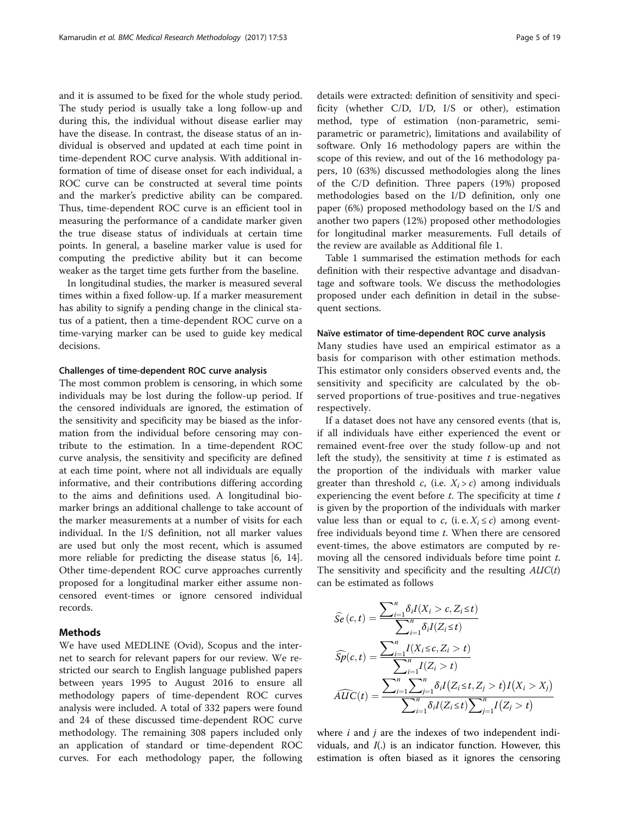and it is assumed to be fixed for the whole study period. The study period is usually take a long follow-up and during this, the individual without disease earlier may have the disease. In contrast, the disease status of an individual is observed and updated at each time point in time-dependent ROC curve analysis. With additional information of time of disease onset for each individual, a ROC curve can be constructed at several time points and the marker's predictive ability can be compared. Thus, time-dependent ROC curve is an efficient tool in measuring the performance of a candidate marker given the true disease status of individuals at certain time points. In general, a baseline marker value is used for computing the predictive ability but it can become weaker as the target time gets further from the baseline.

In longitudinal studies, the marker is measured several times within a fixed follow-up. If a marker measurement has ability to signify a pending change in the clinical status of a patient, then a time-dependent ROC curve on a time-varying marker can be used to guide key medical decisions.

#### Challenges of time-dependent ROC curve analysis

The most common problem is censoring, in which some individuals may be lost during the follow-up period. If the censored individuals are ignored, the estimation of the sensitivity and specificity may be biased as the information from the individual before censoring may contribute to the estimation. In a time-dependent ROC curve analysis, the sensitivity and specificity are defined at each time point, where not all individuals are equally informative, and their contributions differing according to the aims and definitions used. A longitudinal biomarker brings an additional challenge to take account of the marker measurements at a number of visits for each individual. In the I/S definition, not all marker values are used but only the most recent, which is assumed more reliable for predicting the disease status [\[6](#page-17-0), [14](#page-18-0)]. Other time-dependent ROC curve approaches currently proposed for a longitudinal marker either assume noncensored event-times or ignore censored individual records.

#### **Methods**

We have used MEDLINE (Ovid), Scopus and the internet to search for relevant papers for our review. We restricted our search to English language published papers between years 1995 to August 2016 to ensure all methodology papers of time-dependent ROC curves analysis were included. A total of 332 papers were found and 24 of these discussed time-dependent ROC curve methodology. The remaining 308 papers included only an application of standard or time-dependent ROC curves. For each methodology paper, the following details were extracted: definition of sensitivity and specificity (whether C/D, I/D, I/S or other), estimation method, type of estimation (non-parametric, semiparametric or parametric), limitations and availability of software. Only 16 methodology papers are within the scope of this review, and out of the 16 methodology papers, 10 (63%) discussed methodologies along the lines of the C/D definition. Three papers (19%) proposed methodologies based on the I/D definition, only one paper (6%) proposed methodology based on the I/S and another two papers (12%) proposed other methodologies for longitudinal marker measurements. Full details of the review are available as Additional file [1.](#page-17-0)

Table [1](#page-5-0) summarised the estimation methods for each definition with their respective advantage and disadvantage and software tools. We discuss the methodologies proposed under each definition in detail in the subsequent sections.

# Naïve estimator of time-dependent ROC curve analysis

Many studies have used an empirical estimator as a basis for comparison with other estimation methods. This estimator only considers observed events and, the sensitivity and specificity are calculated by the observed proportions of true-positives and true-negatives respectively.

If a dataset does not have any censored events (that is, if all individuals have either experienced the event or remained event-free over the study follow-up and not left the study), the sensitivity at time  $t$  is estimated as the proportion of the individuals with marker value greater than threshold c, (i.e.  $X_i > c$ ) among individuals experiencing the event before  $t$ . The specificity at time  $t$ is given by the proportion of the individuals with marker value less than or equal to c, (i. e.  $X_i \le c$ ) among eventfree individuals beyond time  $t$ . When there are censored event-times, the above estimators are computed by removing all the censored individuals before time point t. The sensitivity and specificity and the resulting  $AUC(t)$ can be estimated as follows

$$
\widehat{Se}(c, t) = \frac{\sum_{i=1}^{n} \delta_i I(X_i > c, Z_i \le t)}{\sum_{i=1}^{n} \delta_i I(Z_i \le t)}
$$
\n
$$
\widehat{Sp}(c, t) = \frac{\sum_{i=1}^{n} I(X_i \le c, Z_i > t)}{\sum_{i=1}^{n} I(Z_i > t)}
$$
\n
$$
\widehat{AUC}(t) = \frac{\sum_{i=1}^{n} \sum_{j=1}^{n} \delta_i I(Z_i \le t, Z_j > t) I(X_i > X_j)}{\sum_{i=1}^{n} \delta_i I(Z_i \le t) \sum_{j=1}^{n} I(Z_j > t)}
$$

where  $i$  and  $j$  are the indexes of two independent individuals, and  $I(.)$  is an indicator function. However, this estimation is often biased as it ignores the censoring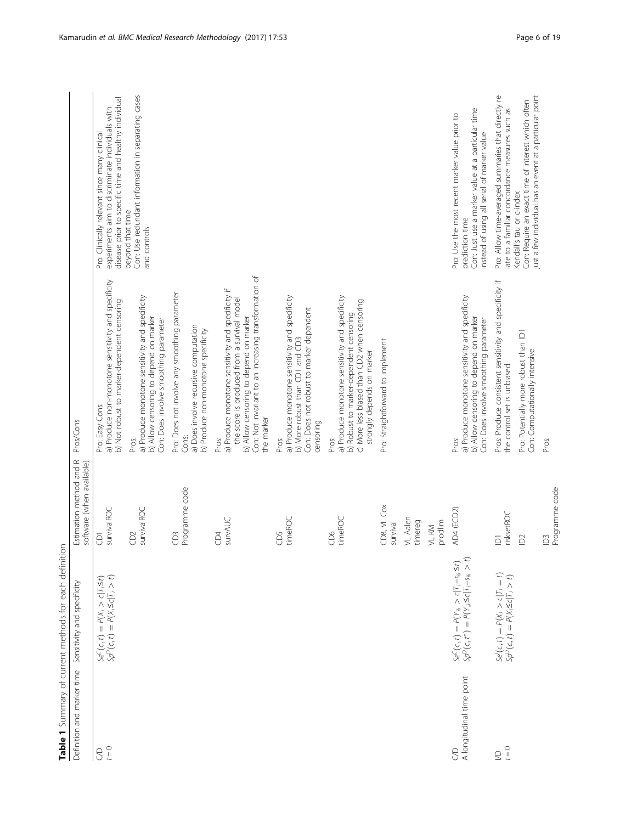<span id="page-5-0"></span>

| Definition and marker time     | Sensitivity and specificity                                                                                             | Estimation method and R<br>software (when available) | Pros/Cons                                                                                                                                                                                                                   |                                                                                                                                                                       |
|--------------------------------|-------------------------------------------------------------------------------------------------------------------------|------------------------------------------------------|-----------------------------------------------------------------------------------------------------------------------------------------------------------------------------------------------------------------------------|-----------------------------------------------------------------------------------------------------------------------------------------------------------------------|
| $t = 0$<br>$\mathcal{S}$       | $Se^{C}(c, t) = P(X_{i} > c T_{i} \leq t)$<br>$Sp^{D}(c, t) = P(X_{i} \leq c T_{i} > t)$                                | survivalROC<br>$\overline{\Theta}$                   | a) Produce non-monotone sensitivity and specificity<br>b) Not robust to marker-dependent censoring<br>Pro: Easy Cons:                                                                                                       | disease prior to specific time and healthy individual<br>experiments aim to discriminate individuals with<br>Pro: Clinically relevant since many clinical             |
|                                |                                                                                                                         | survivalROC<br>GD2                                   | a) Produce monotone sensitivity and specificity<br>b) Allow censoring to depend on marker<br>Con: Does involve smoothing parameter<br>Pros:                                                                                 | Con: Use redundant information in separating cases<br>beyond that time<br>and controls                                                                                |
|                                |                                                                                                                         | Programme code<br>$\overline{CD}$                    | Pro: Does not involve any smoothing parameter<br>a) Does involve recursive computation<br>b) Produce non-monotone specificity<br>Cons:                                                                                      |                                                                                                                                                                       |
|                                |                                                                                                                         | SurvAUC<br>CD4                                       | Con: Not invariant to an increasing transformation of<br>a) Produce monotone sensitivity and specificity if<br>the score is produced from a survival model<br>b) Allow censoring to depend on marker<br>the marker<br>Pros: |                                                                                                                                                                       |
|                                |                                                                                                                         | timeROC<br>CD5                                       | a) Produce monotone sensitivity and specificity<br>Con: Does not robust to marker dependent<br>b) More robust than CD1 and CD3<br>censoring<br>Pros:                                                                        |                                                                                                                                                                       |
|                                |                                                                                                                         | timeROC<br>CD6                                       | a) Produce monotone sensitivity and specificity<br>c) More less biased than CD2 when censoring<br>b) Robust to marker-dependent censoring<br>strongly depends on marker<br>Pros:                                            |                                                                                                                                                                       |
|                                |                                                                                                                         | CD8, VL Cox<br>survival                              | Pro: Straightforward to implement                                                                                                                                                                                           |                                                                                                                                                                       |
|                                |                                                                                                                         | VL Aalen<br>timereg                                  |                                                                                                                                                                                                                             |                                                                                                                                                                       |
|                                |                                                                                                                         | prodlim<br>VL KM                                     |                                                                                                                                                                                                                             |                                                                                                                                                                       |
| A longitudinal time point<br>S | $Se^{C}(c, t) = P(Y_{ik} > c T_{i} - s_{ik} \leq t)$<br>$Sp^{D}(c, t^{*}) = P(Y_{ik} \leq c T_{i} - s_{ik} > t)$        | AD4 (ECD2)                                           | a) Produce monotone sensitivity and specificity<br>b) Allow censoring to depend on marker<br>Con: Does involve smoothing parameter<br>Pros:                                                                                 | Con: Just use a marker value at a particular time<br>Pro: Use the most recent marker value prior to<br>instead of using all serial of marker value<br>prediction time |
| $t = 0$<br>$\subseteq$         | $\begin{aligned} \mathsf{S}e'(c,t) &= P(X_i > c T_i = t) \\ \mathsf{S}p^D(c,t) &= P(X_i &\leq c T_i > t) \end{aligned}$ | risksetROC<br>$\overline{\Omega}$                    | Pros: Produce consistent sensitivity and specificity if<br>the control set is unbiased                                                                                                                                      | Pro: Allow time-averaged summaries that directly re<br>late to a familiar concordance measures such as                                                                |
|                                |                                                                                                                         | $\Xi$                                                | Pro: Potentially more robust than ID1<br>Con: Computationally intensive                                                                                                                                                     | just a few individual has an event at a particular point<br>Con: Require an exact time of interest which often<br>Kendall's tau or c-index                            |
|                                |                                                                                                                         | Programme code<br>$\Xi$                              | Pros:                                                                                                                                                                                                                       |                                                                                                                                                                       |

Table 1 Summary of current methods for each definition **Table 1** Summary of current methods for each definition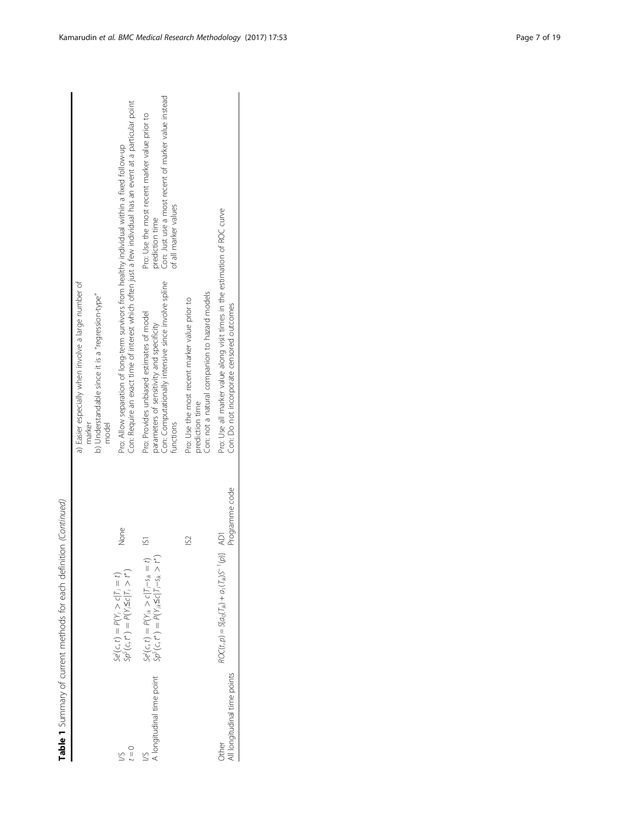| l                                          |
|--------------------------------------------|
|                                            |
| i                                          |
| $\mathbf{I}$                               |
|                                            |
| ļ<br>j                                     |
|                                            |
| 5                                          |
|                                            |
|                                            |
|                                            |
| $\frac{1}{1}$<br>֠                         |
|                                            |
| ć                                          |
| J                                          |
|                                            |
| $\frac{1}{2}$                              |
|                                            |
| ļ                                          |
| J                                          |
| י<br>י                                     |
|                                            |
| J                                          |
| $\ddot{\phantom{a}}$                       |
|                                            |
|                                            |
| ֧֧֢ׅ֧֢ׅ֧ׅ֧ׅ֧֧֦֧֢ׅ֧֚֚֚֚֚֚֚֚֚֚֚֚֚֚֚֚֚֚֚֚֜֝֝֓ |
|                                            |
| l                                          |
|                                            |
| $-1$                                       |
|                                            |
| $\ddot{\phantom{a}}$                       |
|                                            |
|                                            |
|                                            |
|                                            |
| I<br>ĵ                                     |
|                                            |
|                                            |
|                                            |
|                                            |
|                                            |

|                                       |                                                                                                                                   |                       | a) Easier especially when involve a large number of                                                                                                                                                                                                                                                            |
|---------------------------------------|-----------------------------------------------------------------------------------------------------------------------------------|-----------------------|----------------------------------------------------------------------------------------------------------------------------------------------------------------------------------------------------------------------------------------------------------------------------------------------------------------|
|                                       |                                                                                                                                   |                       | b) Understandable since it is a "regression-type"<br>marker<br>model                                                                                                                                                                                                                                           |
| $t = 0$<br>Š                          | $SpS(c, t*) = P(Y1Sc T1 > t*)$<br>$Se'(c, t) = P(Y_i > c   T_i = t)$                                                              | None                  | Con: Require an exact time of interest which often just a few individual has an event at a particular point<br>Pro: Allow separation of long-term survivors from healthy individual within a fixed follow-up                                                                                                   |
| A longitudinal time point             | $\begin{array}{l} S e'(c,t) = P(Y_{ik} > c   I_i - s_{ik} = t) \\ Sp^c(c,t^*) = P(Y_{ik} \le c   I_i - s_{ik} > t^*) \end{array}$ |                       | Con: Just use a most recent of marker value instead<br>Pro: Use the most recent marker value prior to<br>of all marker values<br>prediction time<br>Con: Computationally intensive since involve spline<br>Pro: Provides unbiased estimates of model<br>parameters of sensitivity and specificity<br>functions |
|                                       |                                                                                                                                   | $\Omega$              | Con: not a natural companion to hazard models<br>Pro: Use the most recent marker value prior to<br>prediction time                                                                                                                                                                                             |
| All longitudinal time points<br>Other | $ROC(t, p) = S[a_0(T_{ik}) + a_1(T_{ik})S^{-1}(p)].$                                                                              | Programme code<br>AD1 | Pro: Use all marker value along visit times in the estimation of ROC curve<br>Con: Do not incorporate censored outcomes                                                                                                                                                                                        |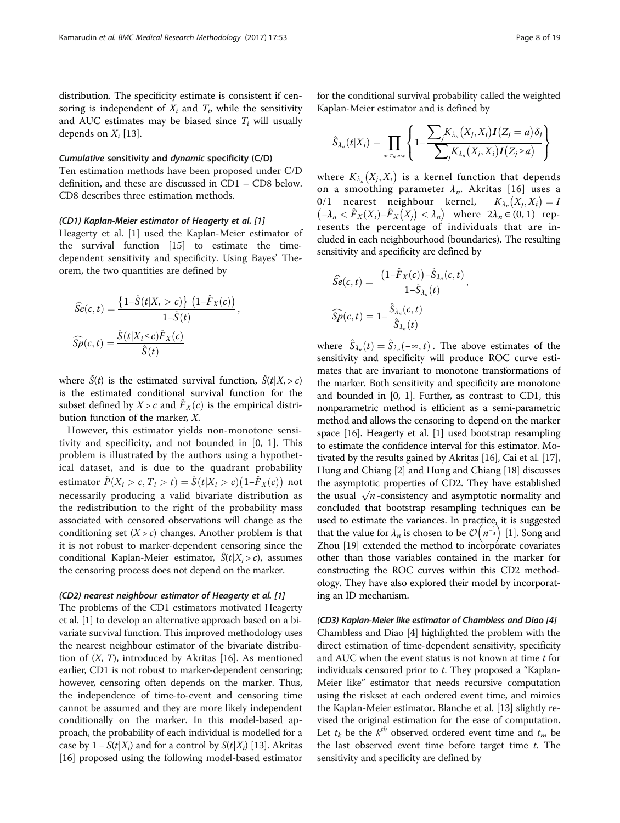distribution. The specificity estimate is consistent if censoring is independent of  $X_i$  and  $T_i$ , while the sensitivity and AUC estimates may be biased since  $T_i$  will usually depends on  $X_i$  [\[13](#page-18-0)].

#### Cumulative sensitivity and dynamic specificity (C/D)

Ten estimation methods have been proposed under C/D definition, and these are discussed in CD1 – CD8 below. CD8 describes three estimation methods.

# (CD1) Kaplan-Meier estimator of Heagerty et al. [\[1\]](#page-17-0)

Heagerty et al. [\[1](#page-17-0)] used the Kaplan-Meier estimator of the survival function [\[15\]](#page-18-0) to estimate the timedependent sensitivity and specificity. Using Bayes' Theorem, the two quantities are defined by

$$
\widehat{Se}(c, t) = \frac{\{1-\widehat{S}(t|X_i > c)\} (1-\widehat{F}_X(c))}{1-\widehat{S}(t)},
$$

$$
\widehat{Sp}(c, t) = \frac{\widehat{S}(t|X_i \le c)\widehat{F}_X(c)}{\widehat{S}(t)}
$$

where  $\hat{S}(t)$  is the estimated survival function,  $\hat{S}(t|X_i > c)$ is the estimated conditional survival function for the subset defined by  $X > c$  and  $F_X(c)$  is the empirical distribution function of the marker, X.

However, this estimator yields non-monotone sensitivity and specificity, and not bounded in [0, 1]. This problem is illustrated by the authors using a hypothetical dataset, and is due to the quadrant probability estimator  $\hat{P}(X_i > c, T_i > t) = \hat{S}(t | X_i > c) (1-\hat{F}_X(c))$  not<br>note that  $\hat{P}(X_i > c, T_i > t) = \hat{S}(t | X_i > c) (1-\hat{F}_X(c))$  not necessarily producing a valid bivariate distribution as the redistribution to the right of the probability mass associated with censored observations will change as the conditioning set  $(X > c)$  changes. Another problem is that it is not robust to marker-dependent censoring since the conditional Kaplan-Meier estimator,  $\hat{S}(t|X_i > c)$ , assumes the censoring process does not depend on the marker.

# (CD2) nearest neighbour estimator of Heagerty et al. [[1](#page-17-0)]

The problems of the CD1 estimators motivated Heagerty et al. [[1](#page-17-0)] to develop an alternative approach based on a bivariate survival function. This improved methodology uses the nearest neighbour estimator of the bivariate distribution of  $(X, T)$ , introduced by Akritas [\[16\]](#page-18-0). As mentioned earlier, CD1 is not robust to marker-dependent censoring; however, censoring often depends on the marker. Thus, the independence of time-to-event and censoring time cannot be assumed and they are more likely independent conditionally on the marker. In this model-based approach, the probability of each individual is modelled for a case by  $1 - S(t|X_i)$  and for a control by  $S(t|X_i)$  [\[13\]](#page-18-0). Akritas [[16](#page-18-0)] proposed using the following model-based estimator

for the conditional survival probability called the weighted Kaplan-Meier estimator and is defined by

$$
\hat{S}_{\lambda_n}(t|X_i) = \prod_{a \in T_n, a \leq t} \left\{ 1 - \frac{\sum_j K_{\lambda_n}(X_j, X_i) I(Z_j = a) \delta_j}{\sum_j K_{\lambda_n}(X_j, X_i) I(Z_j \geq a)} \right\}
$$

where  $K_{\lambda_n}(X_j,X_i)$  is a kernel function that depends on a smoothing parameter  $\lambda_n$ . Akritas [[16\]](#page-18-0) uses a 0/1 nearest neighbour kernel,  $K_{\lambda_n}(X_j, X_i)$  $K_{\lambda_{ii}}(X_i,X_i)=I$  $-\lambda_n < \hat{F}_X(X_i) - \hat{F}_X(X_j) < \lambda_n$  where  $2\lambda_n \in (0, 1)$  rep-<br>esents the percentage of individuals that are inresents the percentage of individuals that are included in each neighbourhood (boundaries). The resulting sensitivity and specificity are defined by

$$
\begin{aligned} \widehat{Se}(c,t) &= \ \frac{\big(1{-}\hat{F}_X(c)\big){-}\hat{S}_{\lambda_n}(c,t)}{1{-}\hat{S}_{\lambda_n}(t)}, \\ \widehat{Sp}(c,t) &= 1{-}\frac{\hat{S}_{\lambda_n}(c,t)}{\hat{S}_{\lambda_n}(t)} \end{aligned}
$$

where  $\hat{S}_{\lambda_n}(t) = \hat{S}_{\lambda_n}(-\infty, t)$ . The above estimates of the sensitivity and specificity will produce ROC curve estisensitivity and specificity will produce ROC curve estimates that are invariant to monotone transformations of the marker. Both sensitivity and specificity are monotone and bounded in [0, 1]. Further, as contrast to CD1, this nonparametric method is efficient as a semi-parametric method and allows the censoring to depend on the marker space [\[16\]](#page-18-0). Heagerty et al. [[1\]](#page-17-0) used bootstrap resampling to estimate the confidence interval for this estimator. Motivated by the results gained by Akritas [[16](#page-18-0)], Cai et al. [[17](#page-18-0)], Hung and Chiang [[2\]](#page-17-0) and Hung and Chiang [[18\]](#page-18-0) discusses the asymptotic properties of CD2. They have established the asymptotic properties of CD2. They have established the usual  $\sqrt{n}$  -consistency and asymptotic normality and concluded that bootstrap resampling techniques can be used to estimate the variances. In practice, it is suggested that the value for  $\lambda_n$  is chosen to be  $\mathcal{O}(n^{-\frac{1}{3}})$  [\[1](#page-17-0)]. Song and <br>Zhou [19] extended the method to incorporate covariates Zhou [[19](#page-18-0)] extended the method to incorporate covariates other than those variables contained in the marker for constructing the ROC curves within this CD2 methodology. They have also explored their model by incorporating an ID mechanism.

(CD3) Kaplan-Meier like estimator of Chambless and Diao [\[4](#page-17-0)] Chambless and Diao [\[4\]](#page-17-0) highlighted the problem with the direct estimation of time-dependent sensitivity, specificity and AUC when the event status is not known at time  $t$  for individuals censored prior to  $t$ . They proposed a "Kaplan-Meier like" estimator that needs recursive computation using the riskset at each ordered event time, and mimics the Kaplan-Meier estimator. Blanche et al. [\[13\]](#page-18-0) slightly revised the original estimation for the ease of computation. Let  $t_k$  be the  $k^{th}$  observed ordered event time and  $t_m$  be the last observed event time before target time  $t$ . The sensitivity and specificity are defined by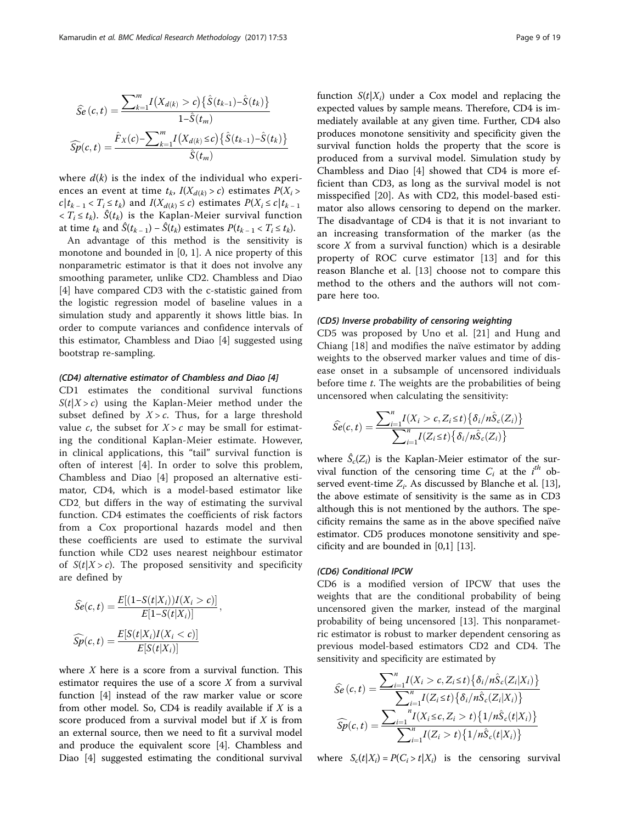$$
\widehat{Se}(c,t) = \frac{\sum_{k=1}^{m} I(X_{d(k)} > c) \{\widehat{S}(t_{k-1}) - \widehat{S}(t_k)\}}{1 - \widehat{S}(t_m)}
$$

$$
\widehat{Sp}(c,t) = \frac{\widehat{F}_X(c) - \sum_{k=1}^{m} I(X_{d(k)} \le c) \{\widehat{S}(t_{k-1}) - \widehat{S}(t_k)\}}{\widehat{S}(t_m)}
$$

where  $d(k)$  is the index of the individual who experiences an event at time  $t_k$ ,  $I(X_{d(k)} > c)$  estimates  $P(X_i > c)$  $c|t_{k-1} < T_i \leq t_k$ ) and  $I(X_{d(k)} \leq c)$  estimates  $P(X_i \leq c|t_{k-1})$  $\langle T_i \leq t_k \rangle$ .  $\hat{S}(t_k)$  is the Kaplan-Meier survival function at time  $t_k$  and  $\hat{S}(t_{k-1}) - \hat{S}(t_k)$  estimates  $P(t_{k-1} < T_i \le t_k)$ .

An advantage of this method is the sensitivity is monotone and bounded in [0, 1]. A nice property of this nonparametric estimator is that it does not involve any smoothing parameter, unlike CD2. Chambless and Diao [[4\]](#page-17-0) have compared CD3 with the c-statistic gained from the logistic regression model of baseline values in a simulation study and apparently it shows little bias. In order to compute variances and confidence intervals of this estimator, Chambless and Diao [\[4](#page-17-0)] suggested using bootstrap re-sampling.

#### (CD4) alternative estimator of Chambless and Diao [\[4\]](#page-17-0)

CD1 estimates the conditional survival functions  $S(t|X>c)$  using the Kaplan-Meier method under the subset defined by  $X > c$ . Thus, for a large threshold value c, the subset for  $X > c$  may be small for estimating the conditional Kaplan-Meier estimate. However, in clinical applications, this "tail" survival function is often of interest [\[4](#page-17-0)]. In order to solve this problem, Chambless and Diao [[4\]](#page-17-0) proposed an alternative estimator, CD4, which is a model-based estimator like CD2, but differs in the way of estimating the survival function. CD4 estimates the coefficients of risk factors from a Cox proportional hazards model and then these coefficients are used to estimate the survival function while CD2 uses nearest neighbour estimator of  $S(t|X>c)$ . The proposed sensitivity and specificity are defined by

$$
\widehat{Se}(c,t) = \frac{E[(1-S(t|X_i))I(X_i > c)]}{E[1-S(t|X_i)]},
$$

$$
\widehat{Sp}(c,t) = \frac{E[S(t|X_i)I(X_i < c)]}{E[S(t|X_i)]}
$$

where  $X$  here is a score from a survival function. This estimator requires the use of a score  $X$  from a survival function [[4\]](#page-17-0) instead of the raw marker value or score from other model. So, CD4 is readily available if  $X$  is a score produced from a survival model but if  $X$  is from an external source, then we need to fit a survival model and produce the equivalent score [[4\]](#page-17-0). Chambless and Diao [\[4](#page-17-0)] suggested estimating the conditional survival function  $S(t|X_i)$  under a Cox model and replacing the expected values by sample means. Therefore, CD4 is immediately available at any given time. Further, CD4 also produces monotone sensitivity and specificity given the survival function holds the property that the score is produced from a survival model. Simulation study by Chambless and Diao [[4](#page-17-0)] showed that CD4 is more efficient than CD3, as long as the survival model is not misspecified [[20\]](#page-18-0). As with CD2, this model-based estimator also allows censoring to depend on the marker. The disadvantage of CD4 is that it is not invariant to an increasing transformation of the marker (as the score X from a survival function) which is a desirable property of ROC curve estimator [[13\]](#page-18-0) and for this reason Blanche et al. [\[13](#page-18-0)] choose not to compare this method to the others and the authors will not compare here too.

#### (CD5) Inverse probability of censoring weighting

CD5 was proposed by Uno et al. [[21\]](#page-18-0) and Hung and Chiang [[18\]](#page-18-0) and modifies the naïve estimator by adding weights to the observed marker values and time of disease onset in a subsample of uncensored individuals before time  $t$ . The weights are the probabilities of being uncensored when calculating the sensitivity:

$$
\widehat{Se}(c,t) = \frac{\sum_{i=1}^{n} I(X_i > c, Z_i \le t) \{ \delta_i / n \widehat{S}_c(Z_i) \}}{\sum_{i=1}^{n} I(Z_i \le t) \{ \delta_i / n \widehat{S}_c(Z_i) \}}
$$

where  $\hat{S}_c(Z_i)$  is the Kaplan-Meier estimator of the survival function of the censoring time  $C_i$  at the  $i^{th}$  observed event-time  $Z_i$ . As discussed by Blanche et al. [\[13](#page-18-0)], the above estimate of sensitivity is the same as in CD3 although this is not mentioned by the authors. The specificity remains the same as in the above specified naïve estimator. CD5 produces monotone sensitivity and specificity and are bounded in [0,1] [\[13\]](#page-18-0).

#### (CD6) Conditional IPCW

CD6 is a modified version of IPCW that uses the weights that are the conditional probability of being uncensored given the marker, instead of the marginal probability of being uncensored [[13\]](#page-18-0). This nonparametric estimator is robust to marker dependent censoring as previous model-based estimators CD2 and CD4. The sensitivity and specificity are estimated by

$$
\widehat{S}_{\widehat{e}}(c,t) = \frac{\sum_{i=1}^{n} I(X_i > c, Z_i \le t) \{ \delta_i / n \hat{S}_c(Z_i | X_i) \}}{\sum_{i=1}^{n} I(Z_i \le t) \{ \delta_i / n \hat{S}_c(Z_i | X_i) \}}
$$

$$
\widehat{S}_{\widehat{P}}(c,t) = \frac{\sum_{i=1}^{n} I(X_i \le c, Z_i > t) \{ 1 / n \hat{S}_c(t | X_i) \}}{\sum_{i=1}^{n} I(Z_i > t) \{ 1 / n \hat{S}_c(t | X_i) \}}
$$

where  $S_c(t|X_i) = P(C_i > t | X_i)$  is the censoring survival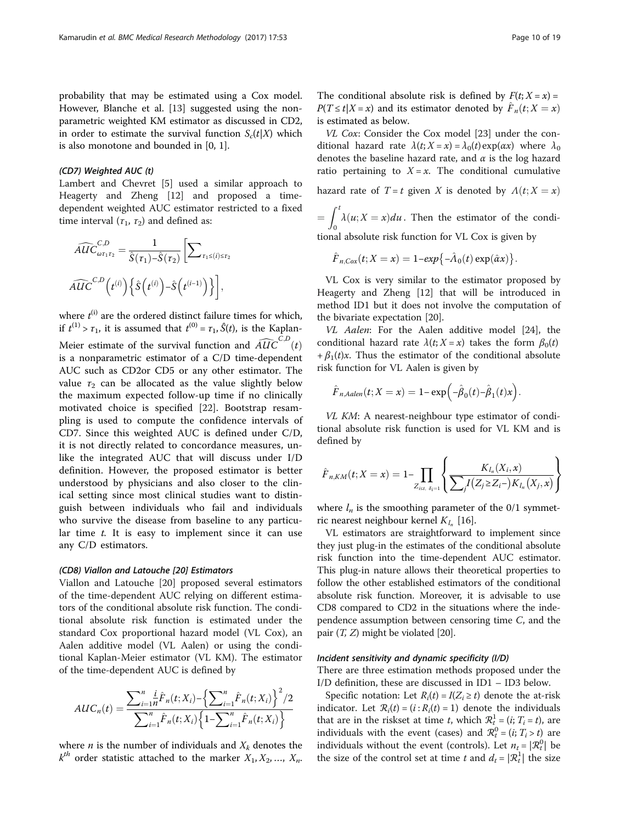probability that may be estimated using a Cox model. However, Blanche et al. [\[13](#page-18-0)] suggested using the nonparametric weighted KM estimator as discussed in CD2, in order to estimate the survival function  $S_c(t|X)$  which is also monotone and bounded in [0, 1].

# (CD7) Weighted AUC (t)

Lambert and Chevret [\[5](#page-17-0)] used a similar approach to Heagerty and Zheng [[12\]](#page-18-0) and proposed a timedependent weighted AUC estimator restricted to a fixed time interval  $(\tau_1, \tau_2)$  and defined as:

$$
\widehat{AUC}_{\omega\tau_1\tau_2}^{C,D} = \frac{1}{\hat{S}(\tau_1) - \hat{S}(\tau_2)} \left[ \sum_{\tau_1 \leq (i) \leq \tau_2} \right]
$$

$$
\widehat{AUC}^{C,D} (t^{(i)}) \left\{ \hat{S} (t^{(i)}) - \hat{S} (t^{(i-1)}) \right\} \right],
$$

where  $t^{\rm (i)}$  are the ordered distinct failure times for which, if  $t^{(1)} > \tau_1$ , it is assumed that  $t^{(0)} = \tau_1$ ,  $\hat{S}(t)$ , is the Kaplan-Meier estimate of the survival function and  $\widehat{AUC}^{C,D}(t)$ <br>is a nonparametric estimator of a  $C/D$  time-dependent is a nonparametric estimator of a C/D time-dependent AUC such as CD2or CD5 or any other estimator. The value  $\tau_2$  can be allocated as the value slightly below the maximum expected follow-up time if no clinically motivated choice is specified [\[22](#page-18-0)]. Bootstrap resampling is used to compute the confidence intervals of CD7. Since this weighted AUC is defined under C/D, it is not directly related to concordance measures, unlike the integrated AUC that will discuss under I/D definition. However, the proposed estimator is better understood by physicians and also closer to the clinical setting since most clinical studies want to distinguish between individuals who fail and individuals who survive the disease from baseline to any particular time  $t$ . It is easy to implement since it can use any C/D estimators.

#### (CD8) Viallon and Latouche [[20](#page-18-0)] Estimators

Viallon and Latouche [[20\]](#page-18-0) proposed several estimators of the time-dependent AUC relying on different estimators of the conditional absolute risk function. The conditional absolute risk function is estimated under the standard Cox proportional hazard model (VL Cox), an Aalen additive model (VL Aalen) or using the conditional Kaplan-Meier estimator (VL KM). The estimator of the time-dependent AUC is defined by

$$
AUC_n(t) = \frac{\sum_{i=1}^n \hat{F}_n(t;X_i) - \left\{\sum_{i=1}^n \hat{F}_n(t;X_i)\right\}^2/2}{\sum_{i=1}^n \hat{F}_n(t;X_i) \left\{1 - \sum_{i=1}^n \hat{F}_n(t;X_i)\right\}}
$$

where *n* is the number of individuals and  $X_k$  denotes the  $k^{th}$  order statistic attached to the marker  $X_1, X_2, ..., X_n$ . The conditional absolute risk is defined by  $F(t; X = x) =$  $P(T \le t | X = x)$  and its estimator denoted by  $\hat{F}_n(t; X = x)$ is estimated as below.

VL Cox: Consider the Cox model [\[23](#page-18-0)] under the conditional hazard rate  $\lambda(t; X = x) = \lambda_0(t) \exp(\alpha x)$  where  $\lambda_0$ denotes the baseline hazard rate, and  $\alpha$  is the log hazard ratio pertaining to  $X = x$ . The conditional cumulative

hazard rate of  $T = t$  given X is denoted by  $\Lambda(t; X = x)$  $\int f$ 

 $\int_{0}^{\infty} \lambda(u; X = x) du$ . Then the estimator of the condi-

tional absolute risk function for VL Cox is given by

$$
\hat{F}_{n,Cox}(t;X=x) = 1 - exp{-\hat{\Lambda}_0(t) exp(\hat{\alpha}x)}.
$$

VL Cox is very similar to the estimator proposed by Heagerty and Zheng [\[12](#page-18-0)] that will be introduced in method ID1 but it does not involve the computation of the bivariate expectation [[20](#page-18-0)].

VL Aalen: For the Aalen additive model [[24](#page-18-0)], the conditional hazard rate  $\lambda(t; X = x)$  takes the form  $\beta_0(t)$  $+\beta_1(t)x$ . Thus the estimator of the conditional absolute risk function for VL Aalen is given by

$$
\hat{F}_{n, Aalen}(t; X = x) = 1 - \exp\left(-\hat{\beta}_0(t) - \hat{\beta}_1(t)x\right).
$$

VL KM: A nearest-neighbour type estimator of conditional absolute risk function is used for VL KM and is defined by

$$
\hat{F}_{n,KM}(t;X=x) = 1 - \prod_{Z_{i\leq t, \delta_i=1}} \left\{ \frac{K_{l_n}(X_i,x)}{\sum_j I(Z_j \geq Z_i -)K_{l_n}(X_j,x)} \right\}
$$

where  $l_n$  is the smoothing parameter of the 0/1 symmetric nearest neighbour kernel  $K_{l_n}$  [[16](#page-18-0)].

VL estimators are straightforward to implement since they just plug-in the estimates of the conditional absolute risk function into the time-dependent AUC estimator. This plug-in nature allows their theoretical properties to follow the other established estimators of the conditional absolute risk function. Moreover, it is advisable to use CD8 compared to CD2 in the situations where the independence assumption between censoring time C, and the pair  $(T, Z)$  might be violated [[20\]](#page-18-0).

# Incident sensitivity and dynamic specificity (I/D)

There are three estimation methods proposed under the I/D definition, these are discussed in ID1 – ID3 below.

Specific notation: Let  $R_i(t) = I(Z_i \ge t)$  denote the at-risk indicator. Let  $\mathcal{R}_i(t) = (i : R_i(t) = 1)$  denote the individuals that are in the riskset at time *t*, which  $\mathcal{R}_t^1 = (i; T_i = t)$ , are individuals with the event (cases) and  $\mathcal{R}_t^0 = (i; T_i > t)$  are individuals without the event (controls). Let  $n_t = |\mathcal{R}_t^0|$  be the size of the control set at time t and  $d_t = |\mathcal{R}_t|$  the size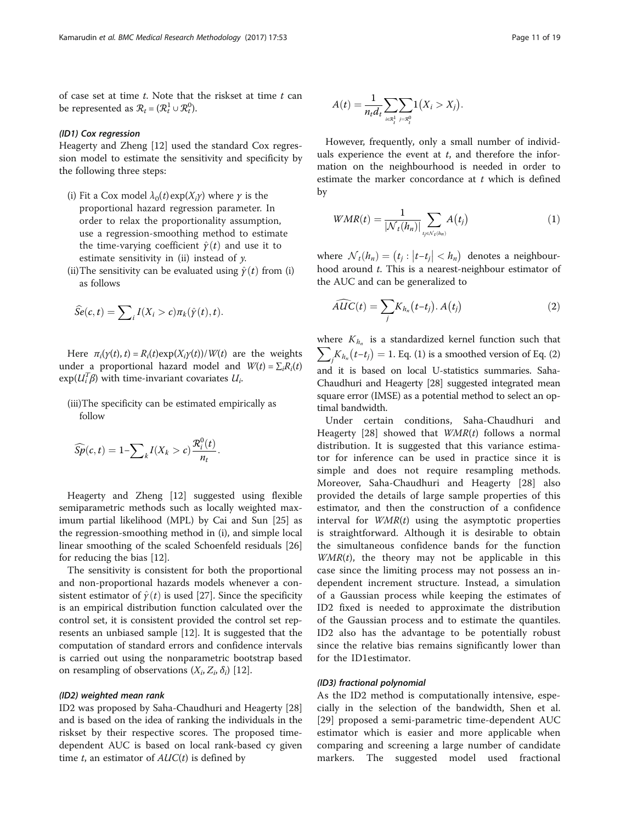of case set at time  $t$ . Note that the riskset at time  $t$  can be represented as  $\mathcal{R}_t = (\mathcal{R}_t^1 \cup \mathcal{R}_t^0)$ .

#### (ID1) Cox regression

Heagerty and Zheng [\[12](#page-18-0)] used the standard Cox regression model to estimate the sensitivity and specificity by the following three steps:

- (i) Fit a Cox model  $\lambda_0(t)$ exp( $X_i\gamma$ ) where  $\gamma$  is the proportional hazard regression parameter. In order to relax the proportionality assumption, use a regression-smoothing method to estimate the time-varying coefficient  $\hat{y}(t)$  and use it to estimate sensitivity in (ii) instead of  $\gamma$ .
- (ii)The sensitivity can be evaluated using  $\hat{y}(t)$  from (i) as follows

$$
\widehat{Se}(c,t) = \sum_i I(X_i > c) \pi_k(\hat{\gamma}(t), t).
$$

Here  $\pi_i(y(t), t) = R_i(t) \exp(X_i y(t))/W(t)$  are the weights under a proportional hazard model and  $W(t) = \sum_i R_i(t)$  $\exp(U_i^T\beta)$  with time-invariant covariates  $U_i.$ 

(iii)The specificity can be estimated empirically as follow

$$
\widehat{Sp}(c,t) = 1 - \sum_{k} I(X_k > c) \frac{\mathcal{R}_i^0(t)}{n_t}.
$$

Heagerty and Zheng [\[12](#page-18-0)] suggested using flexible semiparametric methods such as locally weighted maximum partial likelihood (MPL) by Cai and Sun [[25\]](#page-18-0) as the regression-smoothing method in (i), and simple local linear smoothing of the scaled Schoenfeld residuals [[26](#page-18-0)] for reducing the bias [[12\]](#page-18-0).

The sensitivity is consistent for both the proportional and non-proportional hazards models whenever a consistent estimator of  $\hat{\gamma}(t)$  is used [[27\]](#page-18-0). Since the specificity is an empirical distribution function calculated over the control set, it is consistent provided the control set represents an unbiased sample [[12\]](#page-18-0). It is suggested that the computation of standard errors and confidence intervals is carried out using the nonparametric bootstrap based on resampling of observations  $(X_i, Z_i, \delta_i)$  [\[12](#page-18-0)].

# (ID2) weighted mean rank

ID2 was proposed by Saha-Chaudhuri and Heagerty [[28](#page-18-0)] and is based on the idea of ranking the individuals in the riskset by their respective scores. The proposed timedependent AUC is based on local rank-based cy given time  $t$ , an estimator of  $AUC(t)$  is defined by

$$
A(t) = \frac{1}{n_t d_t} \sum_{i \in \mathcal{R}_t^1} \sum_{j \in \mathcal{R}_t^0} \mathbb{1}(X_i > X_j).
$$

However, frequently, only a small number of individuals experience the event at  $t$ , and therefore the information on the neighbourhood is needed in order to estimate the marker concordance at  $t$  which is defined by

$$
WMR(t) = \frac{1}{|\mathcal{N}_t(h_n)|} \sum_{t_j \in \mathcal{N}_t(h_n)} A(t_j)
$$
 (1)

where  $\mathcal{N}_t(h_n) = (t_j : |t-t_j|)$ <br>hood example to This is a t  $|t-t_j| < h_n$ ) denotes a neighbourhood around *t*. This is a nearest-neighbour estimator of the AUC and can be generalized to

$$
\widehat{AUC}(t) = \sum_j K_{h_n}(t-t_j) \cdot A(t_j) \tag{2}
$$

where  $K_{h_n}$  is a standardized kernel function such that  $j^{K_{h_n}}(t-t_j) = 1$ . Eq. (1) is a smoothed version of Eq. (2) and it is based on local U-statistics summaries. Saha-Chaudhuri and Heagerty [\[28\]](#page-18-0) suggested integrated mean square error (IMSE) as a potential method to select an optimal bandwidth.

Under certain conditions, Saha-Chaudhuri and Heagerty [\[28](#page-18-0)] showed that  $WMR(t)$  follows a normal distribution. It is suggested that this variance estimator for inference can be used in practice since it is simple and does not require resampling methods. Moreover, Saha-Chaudhuri and Heagerty [[28](#page-18-0)] also provided the details of large sample properties of this estimator, and then the construction of a confidence interval for  $WMR(t)$  using the asymptotic properties is straightforward. Although it is desirable to obtain the simultaneous confidence bands for the function  $WMR(t)$ , the theory may not be applicable in this case since the limiting process may not possess an independent increment structure. Instead, a simulation of a Gaussian process while keeping the estimates of ID2 fixed is needed to approximate the distribution of the Gaussian process and to estimate the quantiles. ID2 also has the advantage to be potentially robust since the relative bias remains significantly lower than for the ID1estimator.

#### (ID3) fractional polynomial

As the ID2 method is computationally intensive, especially in the selection of the bandwidth, Shen et al. [[29\]](#page-18-0) proposed a semi-parametric time-dependent AUC estimator which is easier and more applicable when comparing and screening a large number of candidate markers. The suggested model used fractional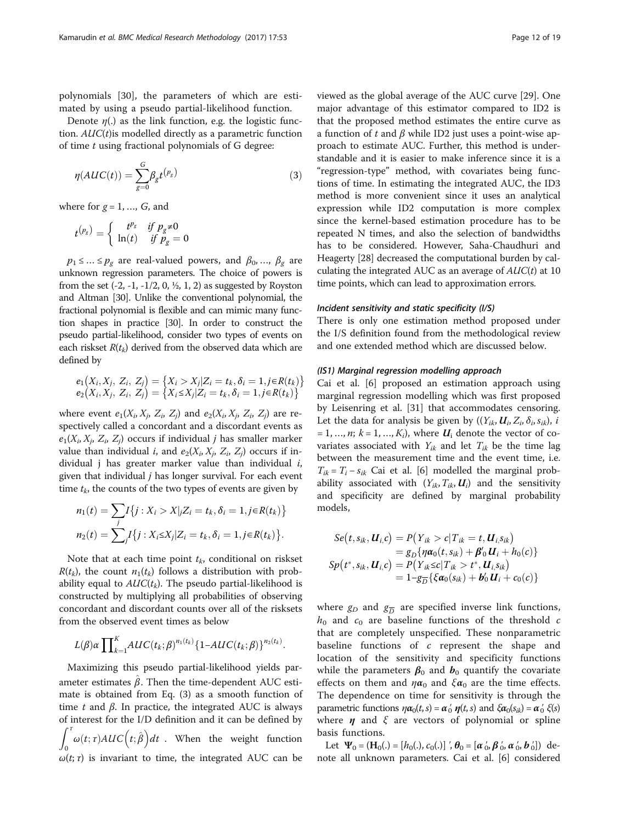polynomials [\[30](#page-18-0)], the parameters of which are estimated by using a pseudo partial-likelihood function.

Denote  $\eta$ (.) as the link function, e.g. the logistic function.  $AUC(t)$  is modelled directly as a parametric function of time  $t$  using fractional polynomials of  $G$  degree:

$$
\eta(AUC(t)) = \sum_{g=0}^{G} \beta_g t^{(p_g)} \tag{3}
$$

where for  $g = 1, ..., G$ , and

$$
t^{(p_g)} = \begin{cases} t^{p_g} & \text{if } p_g \neq 0 \\ \ln(t) & \text{if } p_g = 0 \end{cases}
$$

 $p_1 \leq \ldots \leq p_g$  are real-valued powers, and  $\beta_0$ , ...,  $\beta_g$  are unknown regression parameters. The choice of powers is from the set  $(-2, -1, -1/2, 0, \frac{1}{2}, 1, 2)$  as suggested by Royston and Altman [\[30\]](#page-18-0). Unlike the conventional polynomial, the fractional polynomial is flexible and can mimic many function shapes in practice [[30\]](#page-18-0). In order to construct the pseudo partial-likelihood, consider two types of events on each riskset  $R(t_k)$  derived from the observed data which are defined by

$$
e_1(X_i, X_j, Z_i, Z_j) = \{X_i > X_j | Z_i = t_k, \delta_i = 1, j \in R(t_k)\}
$$
  

$$
e_2(X_i, X_j, Z_i, Z_j) = \{X_i \le X_j | Z_i = t_k, \delta_i = 1, j \in R(t_k)\}
$$

where event  $e_1(X_i, X_j, Z_i, Z_j)$  and  $e_2(X_i, X_j, Z_i, Z_j)$  are respectively called a concordant and a discordant events as  $e_1(X_i, X_i, Z_i, Z_i)$  occurs if individual *j* has smaller marker value than individual *i*, and  $e_2(X_i, X_i, Z_i, Z_j)$  occurs if individual j has greater marker value than individual i, given that individual  $j$  has longer survival. For each event time  $t_k$ , the counts of the two types of events are given by

$$
n_1(t) = \sum_j I\{j : X_i > X | jZ_i = t_k, \delta_i = 1, j \in R(t_k)\}
$$
  

$$
n_2(t) = \sum_j I\{j : X_i \le X_j | Z_i = t_k, \delta_i = 1, j \in R(t_k)\}.
$$

Note that at each time point  $t_k$ , conditional on riskset  $R(t_k)$ , the count  $n_1(t_k)$  follows a distribution with probability equal to  $AUC(t_k)$ . The pseudo partial-likelihood is constructed by multiplying all probabilities of observing concordant and discordant counts over all of the risksets from the observed event times as below

$$
L(\beta)\alpha\prod_{k=1}^K AUC(t_k;\beta)^{n_1(t_k)}\left\{1 - AUC(t_k;\beta)\right\}^{n_2(t_k)}.
$$

Maximizing this pseudo partial-likelihood yields parameter estimates  $\hat{\beta}.$  Then the time-dependent AUC estimate is obtained from Eq. (3) as a smooth function of time t and  $\beta$ . In practice, the integrated AUC is always of interest for the I/D definition and it can be defined by  $\int\limits_0^{\infty}\omega(t;\tau)AUC\Big(t;\hat{\beta}\Big)dt$  . When the weight function  $\omega(t; \tau)$  is invariant to time, the integrated AUC can be viewed as the global average of the AUC curve [[29\]](#page-18-0). One major advantage of this estimator compared to ID2 is that the proposed method estimates the entire curve as a function of t and β while ID2 just uses a point-wise approach to estimate AUC. Further, this method is understandable and it is easier to make inference since it is a "regression-type" method, with covariates being functions of time. In estimating the integrated AUC, the ID3 method is more convenient since it uses an analytical expression while ID2 computation is more complex since the kernel-based estimation procedure has to be repeated N times, and also the selection of bandwidths has to be considered. However, Saha-Chaudhuri and Heagerty [[28](#page-18-0)] decreased the computational burden by calculating the integrated AUC as an average of  $AUC(t)$  at 10 time points, which can lead to approximation errors.

#### Incident sensitivity and static specificity (I/S)

There is only one estimation method proposed under the I/S definition found from the methodological review and one extended method which are discussed below.

#### (IS1) Marginal regression modelling approach

Cai et al. [\[6\]](#page-17-0) proposed an estimation approach using marginal regression modelling which was first proposed by Leisenring et al. [[31\]](#page-18-0) that accommodates censoring. Let the data for analysis be given by  $((Y_{ik}, \mathbf{U}_i, Z_i, \delta_i, s_{ik}), i)$ = 1, ...,  $n; k = 1, ..., K_i$ , where  $U_i$  denote the vector of covariates associated with  $Y_{ik}$  and let  $T_{ik}$  be the time lag between the measurement time and the event time, i.e.  $T_{ik} = T_i - s_{ik}$  Cai et al. [\[6](#page-17-0)] modelled the marginal probability associated with  $(Y_{ik}, T_{ik}, U_i)$  and the sensitivity and specificity are defined by marginal probability models,

$$
Se(t, s_{ik}, \boldsymbol{U}_{i,C}) = P(Y_{ik} > c | T_{ik} = t, \boldsymbol{U}_{i,Sik})
$$
  
\n
$$
= g_D\{\eta \alpha_0(t, s_{ik}) + \beta'_0 \boldsymbol{U}_i + h_0(c)\}
$$
  
\n
$$
Sp(t^*, s_{ik}, \boldsymbol{U}_{i,C}) = P(Y_{ik} \le c | T_{ik} > t^*, \boldsymbol{U}_{i,Sik})
$$
  
\n
$$
= 1 - g_D^{\mathsf{T}}\{\xi \alpha_0(s_{ik}) + \boldsymbol{b}'_0 \boldsymbol{U}_i + c_0(c)\}
$$

where  $g_D$  and  $g_{\overline{D}}$  are specified inverse link functions,  $h_0$  and  $c_0$  are baseline functions of the threshold c that are completely unspecified. These nonparametric baseline functions of c represent the shape and location of the sensitivity and specificity functions while the parameters  $\beta_0$  and  $\mathbf{b}_0$  quantify the covariate effects on them and  $\eta \alpha_0$  and  $\xi \alpha_0$  are the time effects. The dependence on time for sensitivity is through the parametric functions  $\eta \alpha_0(t,s) = \alpha'_0 \eta(t,s)$  and  $\xi \alpha_0(s_{ik}) = \alpha'_0 \xi(s)$ where  $\eta$  and  $\xi$  are vectors of polynomial or spline basis functions.

Let  $\Psi_0 = (H_0(.) = [h_0(.), c_0(.)]'$ ,  $\theta_0 = [\alpha'_0, \beta'_0, \alpha'_0, b'_0])$  denote all unknown parameters. Cai et al. [[6\]](#page-17-0) considered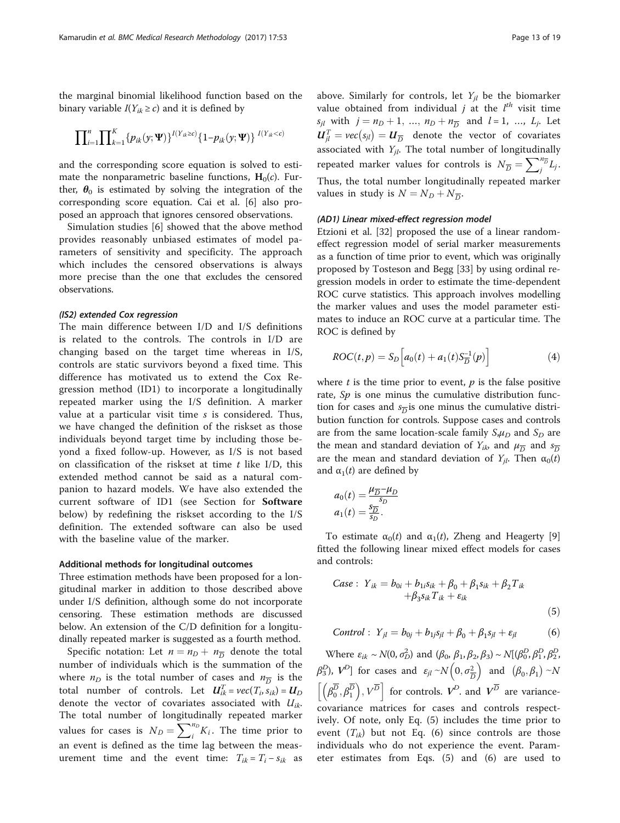<span id="page-12-0"></span>the marginal binomial likelihood function based on the binary variable  $I(Y_{ik} \ge c)$  and it is defined by

$$
{\prod}_{i=1}^n{\prod}_{k=1}^K\{p_{ik}(\mathbf{y};\boldsymbol{\Psi})\}^{I(Y_{ik}\geq c)}\{\boldsymbol{1}{-}p_{ik}(\mathbf{y};\boldsymbol{\Psi})\}^{I(Y_{ik}
$$

and the corresponding score equation is solved to estimate the nonparametric baseline functions,  $H_0(c)$ . Further,  $\theta_0$  is estimated by solving the integration of the corresponding score equation. Cai et al. [[6\]](#page-17-0) also proposed an approach that ignores censored observations.

Simulation studies [[6\]](#page-17-0) showed that the above method provides reasonably unbiased estimates of model parameters of sensitivity and specificity. The approach which includes the censored observations is always more precise than the one that excludes the censored observations.

#### (IS2) extended Cox regression

The main difference between I/D and I/S definitions is related to the controls. The controls in I/D are changing based on the target time whereas in I/S, controls are static survivors beyond a fixed time. This difference has motivated us to extend the Cox Regression method (ID1) to incorporate a longitudinally repeated marker using the I/S definition. A marker value at a particular visit time s is considered. Thus, we have changed the definition of the riskset as those individuals beyond target time by including those beyond a fixed follow-up. However, as I/S is not based on classification of the riskset at time  $t$  like I/D, this extended method cannot be said as a natural companion to hazard models. We have also extended the current software of ID1 (see Section for Software below) by redefining the riskset according to the I/S definition. The extended software can also be used with the baseline value of the marker.

#### Additional methods for longitudinal outcomes

Three estimation methods have been proposed for a longitudinal marker in addition to those described above under I/S definition, although some do not incorporate censoring. These estimation methods are discussed below. An extension of the C/D definition for a longitudinally repeated marker is suggested as a fourth method.

Specific notation: Let  $n = n_D + n_{\overline{D}}$  denote the total number of individuals which is the summation of the where  $n_D$  is the total number of cases and  $n_{\overline{D}}$  is the total number of controls. Let  $\boldsymbol{U}_{ik}^T = vec(T_i, s_{ik}) = \boldsymbol{U}_D$ denote the vector of covariates associated with  $U_{ik}$ . The total number of longitudinally repeated marker The total number of longitudinally repeated marker<br>values for cases is  $N_D = \sum_i^{n_D} K_i$ . The time prior to an event is defined as the time lag between the measurement time and the event time:  $T_{ik} = T_i - s_{ik}$  as

above. Similarly for controls, let  $Y_{il}$  be the biomarker value obtained from individual  $j$  at the  $l^{th}$  visit time  $s_{jl}$  with  $j = n_D + 1, ..., n_D + n_{\overline{D}}$  and  $l = 1, ..., L_j$ . Let  $U_{jl}^T$  with  $J = n_D + 1, ..., n_D + n_{\overline{D}}$  and  $l = 1, ..., L_j$ . Let<br>  $U_{jl}^T = vec(s_{jl}) = U_{\overline{D}}$  denote the vector of covariates associated with  $Y_{il}$ . The total number of longitudinally associated with  $Y_{jl}$ . The total number of longitudinally<br>repeated marker values for controls is  $N_{\overline{D}} = \sum_{j}^{n_{\overline{D}}} L_j$ . Thus, the total number longitudinally repeated marker values in study is  $N = N_D + N_{\overline{D}}$ .

#### (AD1) Linear mixed-effect regression model

Etzioni et al. [\[32](#page-18-0)] proposed the use of a linear randomeffect regression model of serial marker measurements as a function of time prior to event, which was originally proposed by Tosteson and Begg [[33\]](#page-18-0) by using ordinal regression models in order to estimate the time-dependent ROC curve statistics. This approach involves modelling the marker values and uses the model parameter estimates to induce an ROC curve at a particular time. The ROC is defined by

$$
ROC(t,p) = S_D \Big[a_0(t) + a_1(t)S_D^{-1}(p)\Big]
$$
 (4)

where  $t$  is the time prior to event,  $p$  is the false positive rate,  $Sp$  is one minus the cumulative distribution function for cases and  $s_{\overline{D}}$  is one minus the cumulative distribution function for controls. Suppose cases and controls are from the same location-scale family  $S_{\mu D}$  and  $S_D$  are the mean and standard deviation of  $Y_{ik}$  and  $\mu_{\overline{D}}$  and  $s_{\overline{D}}$ are the mean and standard deviation of  $Y_{jl}$ . Then  $\alpha_0(t)$ and  $\alpha_1(t)$  are defined by

$$
a_0(t) = \frac{\mu_{\overline{D}} - \mu_D}{s_D}
$$
  

$$
a_1(t) = \frac{s_{\overline{D}}}{s_D}.
$$

To estimate  $\alpha_0(t)$  and  $\alpha_1(t)$ , Zheng and Heagerty [[9](#page-17-0)] fitted the following linear mixed effect models for cases and controls:

Case: 
$$
Y_{ik} = b_{0i} + b_{1i}s_{ik} + \beta_0 + \beta_1 s_{ik} + \beta_2 T_{ik}
$$
  
  $+ \beta_3 s_{ik} T_{ik} + \varepsilon_{ik}$  (5)

$$
Control: Y_{jl} = b_{0j} + b_{1j}s_{jl} + \beta_0 + \beta_1 s_{jl} + \varepsilon_{jl}
$$
 (6)

Where  $\varepsilon_{ik} \sim N(0, \sigma_D^2)$  and  $(\beta_0, \beta_1, \beta_2, \beta_3) \sim N[(\beta_0^D, \beta_1^D, \beta_2^D, \beta_3^D)]$  $\beta_3^D$ ,  $V^D$ ] for cases and  $\varepsilon_{jl} \sim N\left(0, \sigma_{\overline{D}}^2\right)$  and  $\left(\beta_0, \beta_1\right) \sim N$  $\left(\beta_0^{\overline{D}},\beta_1^{\overline{D}}\right)$ ,  $\left|V^{\overline{D}}\right|$  for controls.  $V^{\overline{D}}$  and  $\left|V^{\overline{D}}\right|$  are variancecovariance matrices for cases and controls respectively. Of note, only Eq. (5) includes the time prior to event  $(T_{ik})$  but not Eq. (6) since controls are those individuals who do not experience the event. Parameter estimates from Eqs. (5) and (6) are used to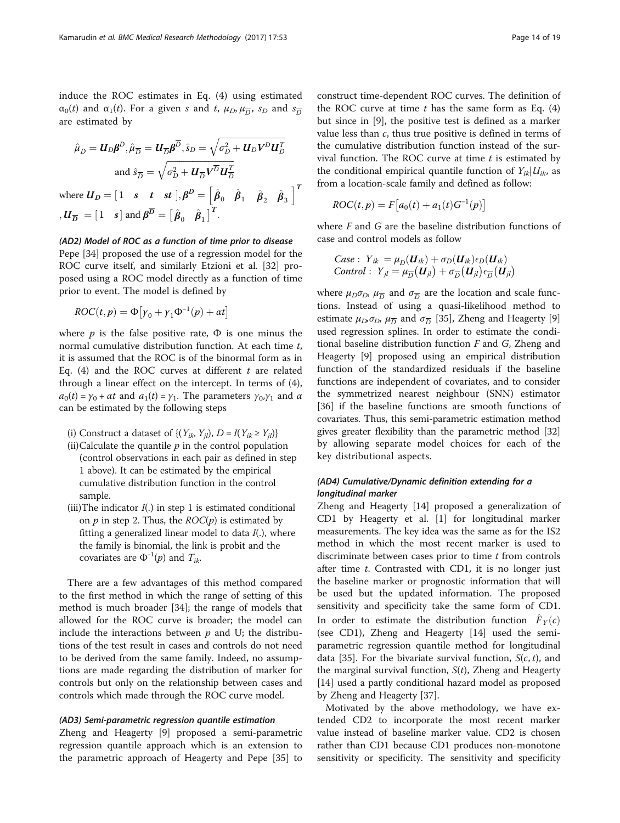induce the ROC estimates in Eq. [\(4](#page-12-0)) using estimated  $\alpha_0(t)$  and  $\alpha_1(t)$ . For a given s and t,  $\mu_D$ ,  $\mu_{\overline{D}}$ ,  $s_D$  and  $s_{\overline{D}}$ are estimated by

$$
\hat{\mu}_D = \mathbf{U}_D \boldsymbol{\beta}^D, \hat{\mu}_{\overline{D}} = \mathbf{U}_{\overline{D}} \boldsymbol{\beta}^{\overline{D}}, \hat{s}_D = \sqrt{\sigma_D^2 + \mathbf{U}_D V^D \mathbf{U}_D^T}
$$
\n
$$
\text{and } \hat{s}_{\overline{D}} = \sqrt{\sigma_D^2 + \mathbf{U}_{\overline{D}} V^{\overline{D}} \mathbf{U}_{\overline{D}}^T}
$$
\n
$$
\text{where } \mathbf{U}_D = \begin{bmatrix} 1 & s & t & st \end{bmatrix}, \boldsymbol{\beta}^D = \begin{bmatrix} \hat{\boldsymbol{\beta}}_0 & \hat{\boldsymbol{\beta}}_1 & \hat{\boldsymbol{\beta}}_2 & \hat{\boldsymbol{\beta}}_3 \end{bmatrix}^T
$$
\n
$$
\text{and } \boldsymbol{\beta}^{\overline{D}} = \begin{bmatrix} \hat{\boldsymbol{\beta}}_0 & \hat{\boldsymbol{\beta}}_1 \end{bmatrix}^T.
$$

#### (AD2) Model of ROC as a function of time prior to disease

Pepe [\[34](#page-18-0)] proposed the use of a regression model for the ROC curve itself, and similarly Etzioni et al. [\[32](#page-18-0)] proposed using a ROC model directly as a function of time prior to event. The model is defined by

$$
ROC(t,p) = \Phi[y_0 + \gamma_1 \Phi^{-1}(p) + \alpha t]
$$

where  $p$  is the false positive rate,  $\Phi$  is one minus the normal cumulative distribution function. At each time t, it is assumed that the ROC is of the binormal form as in Eq. ([4\)](#page-12-0) and the ROC curves at different  $t$  are related through a linear effect on the intercept. In terms of (4),  $a_0(t) = y_0 + \alpha t$  and  $a_1(t) = y_1$ . The parameters  $y_0, y_1$  and  $\alpha$ can be estimated by the following steps

- (i) Construct a dataset of  $\{(Y_{ik}, Y_{il}), D = I(Y_{ik} \ge Y_{il})\}$
- (ii)Calculate the quantile  $p$  in the control population (control observations in each pair as defined in step 1 above). It can be estimated by the empirical cumulative distribution function in the control sample.
- (iii)The indicator  $I(.)$  in step 1 is estimated conditional on  $p$  in step 2. Thus, the  $ROC(p)$  is estimated by fitting a generalized linear model to data  $I(.)$ , where the family is binomial, the link is probit and the covariates are  $\Phi^{-1}(p)$  and  $T_{ik}$ .

There are a few advantages of this method compared to the first method in which the range of setting of this method is much broader [[34](#page-18-0)]; the range of models that allowed for the ROC curve is broader; the model can include the interactions between  $p$  and U; the distributions of the test result in cases and controls do not need to be derived from the same family. Indeed, no assumptions are made regarding the distribution of marker for controls but only on the relationship between cases and controls which made through the ROC curve model.

#### (AD3) Semi-parametric regression quantile estimation

Zheng and Heagerty [[9\]](#page-17-0) proposed a semi-parametric regression quantile approach which is an extension to the parametric approach of Heagerty and Pepe [[35\]](#page-18-0) to

construct time-dependent ROC curves. The definition of the ROC curve at time  $t$  has the same form as Eq.  $(4)$  $(4)$ but since in [\[9](#page-17-0)], the positive test is defined as a marker value less than c, thus true positive is defined in terms of the cumulative distribution function instead of the survival function. The ROC curve at time  $t$  is estimated by the conditional empirical quantile function of  $Y_{ik}|U_{ik}$ , as from a location-scale family and defined as follow:

$$
ROC(t,p) = F[a_0(t) + a_1(t)G^{-1}(p)]
$$

where *F* and *G* are the baseline distribution functions of case and control models as follow

Case: 
$$
Y_{ik} = \mu_D(\boldsymbol{U}_{ik}) + \sigma_D(\boldsymbol{U}_{ik})\epsilon_D(\boldsymbol{U}_{ik})
$$
  
Control:  $Y_{jl} = \mu_{\overline{D}}(\boldsymbol{U}_{jl}) + \sigma_{\overline{D}}(\boldsymbol{U}_{jl})\epsilon_{\overline{D}}(\boldsymbol{U}_{jl})$ 

where  $\mu_D \sigma_D$ ,  $\mu_{\overline{D}}$  and  $\sigma_{\overline{D}}$  are the location and scale functions. Instead of using a quasi-likelihood method to estimate  $\mu_D \sigma_D$ ,  $\mu_{\overline{D}}$  and  $\sigma_{\overline{D}}$  [[35](#page-18-0)], Zheng and Heagerty [\[9](#page-17-0)] used regression splines. In order to estimate the conditional baseline distribution function  $F$  and  $G$ , Zheng and Heagerty [[9\]](#page-17-0) proposed using an empirical distribution function of the standardized residuals if the baseline functions are independent of covariates, and to consider the symmetrized nearest neighbour (SNN) estimator [[36\]](#page-18-0) if the baseline functions are smooth functions of covariates. Thus, this semi-parametric estimation method gives greater flexibility than the parametric method [[32](#page-18-0)] by allowing separate model choices for each of the key distributional aspects.

# (AD4) Cumulative/Dynamic definition extending for a longitudinal marker

Zheng and Heagerty [[14](#page-18-0)] proposed a generalization of CD1 by Heagerty et al. [\[1](#page-17-0)] for longitudinal marker measurements. The key idea was the same as for the IS2 method in which the most recent marker is used to discriminate between cases prior to time  $t$  from controls after time t. Contrasted with CD1, it is no longer just the baseline marker or prognostic information that will be used but the updated information. The proposed sensitivity and specificity take the same form of CD1. In order to estimate the distribution function  $F_Y(c)$ (see CD1), Zheng and Heagerty [\[14](#page-18-0)] used the semiparametric regression quantile method for longitudinal data [[35\]](#page-18-0). For the bivariate survival function,  $S(c, t)$ , and the marginal survival function,  $S(t)$ , Zheng and Heagerty [[14\]](#page-18-0) used a partly conditional hazard model as proposed by Zheng and Heagerty [[37\]](#page-18-0).

Motivated by the above methodology, we have extended CD2 to incorporate the most recent marker value instead of baseline marker value. CD2 is chosen rather than CD1 because CD1 produces non-monotone sensitivity or specificity. The sensitivity and specificity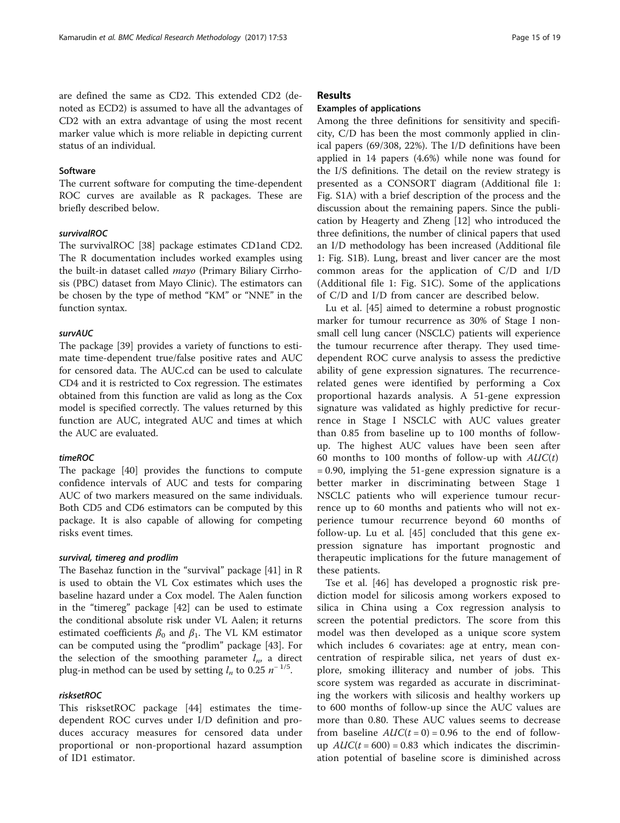are defined the same as CD2. This extended CD2 (denoted as ECD2) is assumed to have all the advantages of CD2 with an extra advantage of using the most recent marker value which is more reliable in depicting current status of an individual.

# Software

The current software for computing the time-dependent ROC curves are available as R packages. These are briefly described below.

# survivalROC

The survivalROC [\[38](#page-18-0)] package estimates CD1and CD2. The R documentation includes worked examples using the built-in dataset called mayo (Primary Biliary Cirrhosis (PBC) dataset from Mayo Clinic). The estimators can be chosen by the type of method "KM" or "NNE" in the function syntax.

#### survAUC

The package [\[39](#page-18-0)] provides a variety of functions to estimate time-dependent true/false positive rates and AUC for censored data. The AUC.cd can be used to calculate CD4 and it is restricted to Cox regression. The estimates obtained from this function are valid as long as the Cox model is specified correctly. The values returned by this function are AUC, integrated AUC and times at which the AUC are evaluated.

#### timeROC

The package [[40\]](#page-18-0) provides the functions to compute confidence intervals of AUC and tests for comparing AUC of two markers measured on the same individuals. Both CD5 and CD6 estimators can be computed by this package. It is also capable of allowing for competing risks event times.

#### survival, timereg and prodlim

The Basehaz function in the "survival" package [\[41](#page-18-0)] in R is used to obtain the VL Cox estimates which uses the baseline hazard under a Cox model. The Aalen function in the "timereg" package [[42\]](#page-18-0) can be used to estimate the conditional absolute risk under VL Aalen; it returns estimated coefficients  $\beta_0$  and  $\beta_1$ . The VL KM estimator can be computed using the "prodlim" package [[43\]](#page-18-0). For the selection of the smoothing parameter  $l_n$ , a direct plug-in method can be used by setting  $l_n$  to 0.25  $n^{-1/5}$ .

#### risksetROC

This risksetROC package [\[44](#page-18-0)] estimates the timedependent ROC curves under I/D definition and produces accuracy measures for censored data under proportional or non-proportional hazard assumption of ID1 estimator.

# Results

## Examples of applications

Among the three definitions for sensitivity and specificity, C/D has been the most commonly applied in clinical papers (69/308, 22%). The I/D definitions have been applied in 14 papers (4.6%) while none was found for the I/S definitions. The detail on the review strategy is presented as a CONSORT diagram (Additional file [1](#page-17-0): Fig. S1A) with a brief description of the process and the discussion about the remaining papers. Since the publication by Heagerty and Zheng [\[12](#page-18-0)] who introduced the three definitions, the number of clinical papers that used an I/D methodology has been increased (Additional file [1:](#page-17-0) Fig. S1B). Lung, breast and liver cancer are the most common areas for the application of C/D and I/D (Additional file [1:](#page-17-0) Fig. S1C). Some of the applications of C/D and I/D from cancer are described below.

Lu et al. [[45\]](#page-18-0) aimed to determine a robust prognostic marker for tumour recurrence as 30% of Stage I nonsmall cell lung cancer (NSCLC) patients will experience the tumour recurrence after therapy. They used timedependent ROC curve analysis to assess the predictive ability of gene expression signatures. The recurrencerelated genes were identified by performing a Cox proportional hazards analysis. A 51-gene expression signature was validated as highly predictive for recurrence in Stage I NSCLC with AUC values greater than 0.85 from baseline up to 100 months of followup. The highest AUC values have been seen after 60 months to 100 months of follow-up with  $AUC(t)$ = 0.90, implying the 51-gene expression signature is a better marker in discriminating between Stage 1 NSCLC patients who will experience tumour recurrence up to 60 months and patients who will not experience tumour recurrence beyond 60 months of follow-up. Lu et al. [\[45](#page-18-0)] concluded that this gene expression signature has important prognostic and therapeutic implications for the future management of these patients.

Tse et al. [[46](#page-18-0)] has developed a prognostic risk prediction model for silicosis among workers exposed to silica in China using a Cox regression analysis to screen the potential predictors. The score from this model was then developed as a unique score system which includes 6 covariates: age at entry, mean concentration of respirable silica, net years of dust explore, smoking illiteracy and number of jobs. This score system was regarded as accurate in discriminating the workers with silicosis and healthy workers up to 600 months of follow-up since the AUC values are more than 0.80. These AUC values seems to decrease from baseline  $AUC(t = 0) = 0.96$  to the end of followup  $AUC(t = 600) = 0.83$  which indicates the discrimination potential of baseline score is diminished across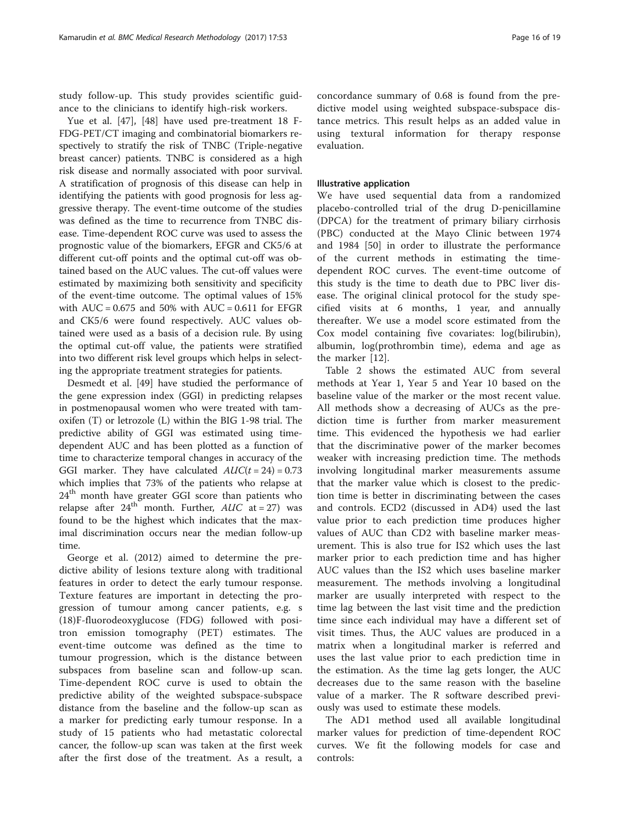study follow-up. This study provides scientific guidance to the clinicians to identify high-risk workers.

Yue et al. [[47\]](#page-18-0), [\[48](#page-18-0)] have used pre-treatment 18 F-FDG-PET/CT imaging and combinatorial biomarkers respectively to stratify the risk of TNBC (Triple-negative breast cancer) patients. TNBC is considered as a high risk disease and normally associated with poor survival. A stratification of prognosis of this disease can help in identifying the patients with good prognosis for less aggressive therapy. The event-time outcome of the studies was defined as the time to recurrence from TNBC disease. Time-dependent ROC curve was used to assess the prognostic value of the biomarkers, EFGR and CK5/6 at different cut-off points and the optimal cut-off was obtained based on the AUC values. The cut-off values were estimated by maximizing both sensitivity and specificity of the event-time outcome. The optimal values of 15% with  $AUC = 0.675$  and 50% with  $AUC = 0.611$  for EFGR and CK5/6 were found respectively. AUC values obtained were used as a basis of a decision rule. By using the optimal cut-off value, the patients were stratified into two different risk level groups which helps in selecting the appropriate treatment strategies for patients.

Desmedt et al. [\[49](#page-18-0)] have studied the performance of the gene expression index (GGI) in predicting relapses in postmenopausal women who were treated with tamoxifen (T) or letrozole (L) within the BIG 1-98 trial. The predictive ability of GGI was estimated using timedependent AUC and has been plotted as a function of time to characterize temporal changes in accuracy of the GGI marker. They have calculated  $AUC(t = 24) = 0.73$ which implies that 73% of the patients who relapse at  $24<sup>th</sup>$  month have greater GGI score than patients who relapse after  $24^{th}$  month. Further,  $AUC$  at = 27) was found to be the highest which indicates that the maximal discrimination occurs near the median follow-up time.

George et al. (2012) aimed to determine the predictive ability of lesions texture along with traditional features in order to detect the early tumour response. Texture features are important in detecting the progression of tumour among cancer patients, e.g. s (18)F-fluorodeoxyglucose (FDG) followed with positron emission tomography (PET) estimates. The event-time outcome was defined as the time to tumour progression, which is the distance between subspaces from baseline scan and follow-up scan. Time-dependent ROC curve is used to obtain the predictive ability of the weighted subspace-subspace distance from the baseline and the follow-up scan as a marker for predicting early tumour response. In a study of 15 patients who had metastatic colorectal cancer, the follow-up scan was taken at the first week after the first dose of the treatment. As a result, a concordance summary of 0.68 is found from the predictive model using weighted subspace-subspace distance metrics. This result helps as an added value in using textural information for therapy response evaluation.

#### Illustrative application

We have used sequential data from a randomized placebo-controlled trial of the drug D-penicillamine (DPCA) for the treatment of primary biliary cirrhosis (PBC) conducted at the Mayo Clinic between 1974 and 1984 [\[50](#page-18-0)] in order to illustrate the performance of the current methods in estimating the timedependent ROC curves. The event-time outcome of this study is the time to death due to PBC liver disease. The original clinical protocol for the study specified visits at 6 months, 1 year, and annually thereafter. We use a model score estimated from the Cox model containing five covariates: log(bilirubin), albumin, log(prothrombin time), edema and age as the marker [[12\]](#page-18-0).

Table [2](#page-16-0) shows the estimated AUC from several methods at Year 1, Year 5 and Year 10 based on the baseline value of the marker or the most recent value. All methods show a decreasing of AUCs as the prediction time is further from marker measurement time. This evidenced the hypothesis we had earlier that the discriminative power of the marker becomes weaker with increasing prediction time. The methods involving longitudinal marker measurements assume that the marker value which is closest to the prediction time is better in discriminating between the cases and controls. ECD2 (discussed in AD4) used the last value prior to each prediction time produces higher values of AUC than CD2 with baseline marker measurement. This is also true for IS2 which uses the last marker prior to each prediction time and has higher AUC values than the IS2 which uses baseline marker measurement. The methods involving a longitudinal marker are usually interpreted with respect to the time lag between the last visit time and the prediction time since each individual may have a different set of visit times. Thus, the AUC values are produced in a matrix when a longitudinal marker is referred and uses the last value prior to each prediction time in the estimation. As the time lag gets longer, the AUC decreases due to the same reason with the baseline value of a marker. The R software described previously was used to estimate these models.

The AD1 method used all available longitudinal marker values for prediction of time-dependent ROC curves. We fit the following models for case and controls: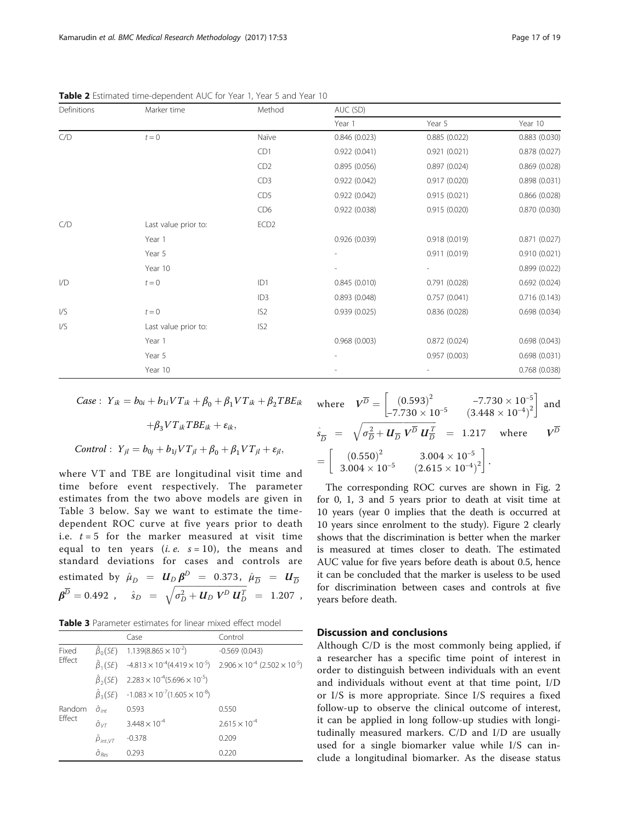<span id="page-16-0"></span>

| Table 2 Estimated time-dependent AUC for Year 1, Year 5 and Year 10 |  |
|---------------------------------------------------------------------|--|
|---------------------------------------------------------------------|--|

| Definitions | Marker time          | Method           | AUC (SD)     |              |               |
|-------------|----------------------|------------------|--------------|--------------|---------------|
|             |                      |                  | Year 1       | Year 5       | Year 10       |
| C/D         | $t = 0$              | Naïve            | 0.846(0.023) | 0.885(0.022) | 0.883(0.030)  |
|             |                      | CD1              | 0.922(0.041) | 0.921(0.021) | 0.878 (0.027) |
|             |                      | CD <sub>2</sub>  | 0.895(0.056) | 0.897(0.024) | 0.869(0.028)  |
|             |                      | CD <sub>3</sub>  | 0.922(0.042) | 0.917(0.020) | 0.898(0.031)  |
|             |                      | CD <sub>5</sub>  | 0.922(0.042) | 0.915(0.021) | 0.866 (0.028) |
|             |                      | CD <sub>6</sub>  | 0.922(0.038) | 0.915(0.020) | 0.870(0.030)  |
| C/D         | Last value prior to: | ECD <sub>2</sub> |              |              |               |
|             | Year 1               |                  | 0.926(0.039) | 0.918(0.019) | 0.871(0.027)  |
|             | Year 5               |                  |              | 0.911(0.019) | 0.910(0.021)  |
|             | Year 10              |                  |              |              | 0.899 (0.022) |
| I/D         | $t = 0$              | ID1              | 0.845(0.010) | 0.791(0.028) | 0.692(0.024)  |
|             |                      | ID3              | 0.893(0.048) | 0.757(0.041) | 0.716(0.143)  |
| 1/S         | $t = 0$              | IS <sub>2</sub>  | 0.939(0.025) | 0.836(0.028) | 0.698(0.034)  |
| 1/S         | Last value prior to: | IS <sub>2</sub>  |              |              |               |
|             | Year 1               |                  | 0.968(0.003) | 0.872(0.024) | 0.698(0.043)  |
|             | Year 5               |                  |              | 0.957(0.003) | 0.698(0.031)  |
|             | Year 10              |                  |              |              | 0.768(0.038)  |

Case :  $Y_{ik} = b_{0i} + b_{1i} V T_{ik} + \beta_0 + \beta_1 V T_{ik} + \beta_2 T B E_{ik}$ 

$$
+\beta_3 V T_{ik} T B E_{ik} + \varepsilon_{ik},
$$
  
Control :  $Y_{jl} = b_{0j} + b_{1j} V T_{jl} + \beta_0 + \beta_1 V T_{jl} + \varepsilon_{jl},$ 

where VT and TBE are longitudinal visit time and time before event respectively. The parameter estimates from the two above models are given in Table 3 below. Say we want to estimate the timedependent ROC curve at five years prior to death i.e.  $t = 5$  for the marker measured at visit time equal to ten years (*i.e.*  $s = 10$ ), the means and standard deviations for cases and controls are estimated by  $\hat{\mu}_D$  =  $U_D \beta^D$  = 0.373,  $\hat{\mu}_{\overline{D}}$  =  $U_{\overline{D}}$  $\beta^D = 0.492$  ,  $\hat{s}_D = \sqrt{\sigma_D^2 + \bm{U}_D \; V^D \; \bm{U}_D^T} = 1.207$  ,

Table 3 Parameter estimates for linear mixed effect model

|               |                                         | Case                                                                                                                            | Control                |
|---------------|-----------------------------------------|---------------------------------------------------------------------------------------------------------------------------------|------------------------|
| Fixed         | $\beta_0$ (SE)                          | $1.139(8.865 \times 10^{-2})$                                                                                                   | $-0.569(0.043)$        |
| <b>Fffect</b> |                                         | $\hat{\beta}_1$ (SE) -4.813 × 10 <sup>-4</sup> (4.419 × 10 <sup>-5</sup> ) 2.906 × 10 <sup>-4</sup> (2.502 × 10 <sup>-5</sup> ) |                        |
|               | $\hat{\beta}_2$ (SE)                    | $2.283 \times 10^{-4} (5.696 \times 10^{-5})$                                                                                   |                        |
|               |                                         | $\hat{\beta}_3$ (SE) -1.083 × 10 <sup>-7</sup> (1.605 × 10 <sup>-8</sup> )                                                      |                        |
| Random        | $\hat{\sigma}_{\scriptscriptstyle int}$ | 0.593                                                                                                                           | 0.550                  |
| Effect        | $\hat{\sigma}_{\mathrm{VT}}$            | $3.448 \times 10^{-4}$                                                                                                          | $2.615 \times 10^{-4}$ |
|               | $\hat{\rho}_{int,VT}$                   | $-0.378$                                                                                                                        | 0.209                  |
|               | $\hat{\sigma}_{Res}$                    | 0.293                                                                                                                           | 0.220                  |

where 
$$
V^{\overline{D}} = \begin{bmatrix} (0.593)^2 & -7.730 \times 10^{-5} \\ -7.730 \times 10^{-5} & (3.448 \times 10^{-4})^2 \end{bmatrix}
$$
 and

$$
\hat{s}_{\overline{D}} = \sqrt{\sigma_{\overline{D}}^2 + \mathbf{U}_{\overline{D}} V^{\overline{D}} \mathbf{U}_{\overline{D}}^{\overline{T}}} = 1.217 \text{ where } V^{\overline{D}}
$$
\n
$$
= \begin{bmatrix} (0.550)^2 & 3.004 \times 10^{-5} \\ 3.004 \times 10^{-5} & (2.615 \times 10^{-4})^2 \end{bmatrix}.
$$

The corresponding ROC curves are shown in Fig. [2](#page-17-0) for 0, 1, 3 and 5 years prior to death at visit time at 10 years (year 0 implies that the death is occurred at 10 years since enrolment to the study). Figure [2](#page-17-0) clearly shows that the discrimination is better when the marker is measured at times closer to death. The estimated AUC value for five years before death is about 0.5, hence it can be concluded that the marker is useless to be used for discrimination between cases and controls at five years before death.

# Discussion and conclusions

Although C/D is the most commonly being applied, if a researcher has a specific time point of interest in order to distinguish between individuals with an event and individuals without event at that time point, I/D or I/S is more appropriate. Since I/S requires a fixed follow-up to observe the clinical outcome of interest, it can be applied in long follow-up studies with longitudinally measured markers. C/D and I/D are usually used for a single biomarker value while I/S can include a longitudinal biomarker. As the disease status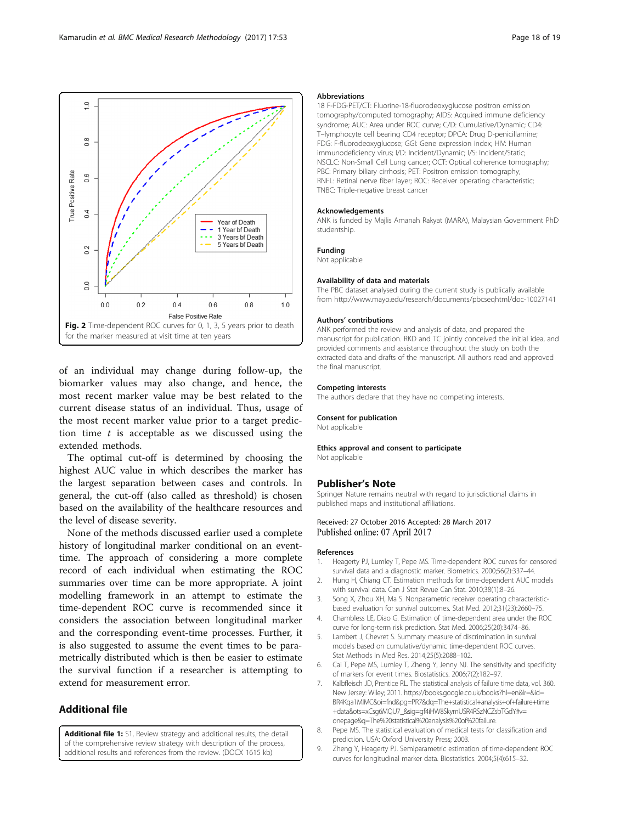<span id="page-17-0"></span>

of an individual may change during follow-up, the biomarker values may also change, and hence, the most recent marker value may be best related to the current disease status of an individual. Thus, usage of the most recent marker value prior to a target prediction time  $t$  is acceptable as we discussed using the extended methods.

The optimal cut-off is determined by choosing the highest AUC value in which describes the marker has the largest separation between cases and controls. In general, the cut-off (also called as threshold) is chosen based on the availability of the healthcare resources and the level of disease severity.

None of the methods discussed earlier used a complete history of longitudinal marker conditional on an eventtime. The approach of considering a more complete record of each individual when estimating the ROC summaries over time can be more appropriate. A joint modelling framework in an attempt to estimate the time-dependent ROC curve is recommended since it considers the association between longitudinal marker and the corresponding event-time processes. Further, it is also suggested to assume the event times to be parametrically distributed which is then be easier to estimate the survival function if a researcher is attempting to extend for measurement error.

# Additional file

[Additional file 1:](dx.doi.org/10.1186/s12874-017-0332-6) S1, Review strategy and additional results, the detail of the comprehensive review strategy with description of the process, additional results and references from the review. (DOCX 1615 kb)

# Abbreviations

18 F-FDG-PET/CT: Fluorine-18-fluorodeoxyglucose positron emission tomography/computed tomography; AIDS: Acquired immune deficiency syndrome; AUC: Area under ROC curve; C/D: Cumulative/Dynamic; CD4: T–lymphocyte cell bearing CD4 receptor; DPCA: Drug D-penicillamine; FDG: F-fluorodeoxyglucose; GGI: Gene expression index; HIV: Human immunodeficiency virus; I/D: Incident/Dynamic; I/S: Incident/Static; NSCLC: Non-Small Cell Lung cancer; OCT: Optical coherence tomography; PBC: Primary biliary cirrhosis; PET: Positron emission tomography; RNFL: Retinal nerve fiber layer; ROC: Receiver operating characteristic; TNBC: Triple-negative breast cancer

#### Acknowledgements

ANK is funded by Majlis Amanah Rakyat (MARA), Malaysian Government PhD studentship.

#### Funding

Not applicable

#### Availability of data and materials

The PBC dataset analysed during the current study is publically available from<http://www.mayo.edu/research/documents/pbcseqhtml/doc-10027141>

#### Authors' contributions

ANK performed the review and analysis of data, and prepared the manuscript for publication. RKD and TC jointly conceived the initial idea, and provided comments and assistance throughout the study on both the extracted data and drafts of the manuscript. All authors read and approved the final manuscript.

#### Competing interests

The authors declare that they have no competing interests.

#### Consent for publication

Not applicable

## Ethics approval and consent to participate

Not applicable

#### Publisher's Note

Springer Nature remains neutral with regard to jurisdictional claims in published maps and institutional affiliations.

# Received: 27 October 2016 Accepted: 28 March 2017

#### References

- 1. Heagerty PJ, Lumley T, Pepe MS. Time-dependent ROC curves for censored survival data and a diagnostic marker. Biometrics. 2000;56(2):337–44.
- 2. Hung H, Chiang CT. Estimation methods for time-dependent AUC models with survival data. Can J Stat Revue Can Stat. 2010;38(1):8–26.
- 3. Song X, Zhou XH, Ma S. Nonparametric receiver operating characteristicbased evaluation for survival outcomes. Stat Med. 2012;31(23):2660–75.
- 4. Chambless LE, Diao G. Estimation of time-dependent area under the ROC curve for long-term risk prediction. Stat Med. 2006;25(20):3474–86.
- 5. Lambert J, Chevret S. Summary measure of discrimination in survival models based on cumulative/dynamic time-dependent ROC curves. Stat Methods In Med Res. 2014;25(5):2088–102.
- 6. Cai T, Pepe MS, Lumley T, Zheng Y, Jenny NJ. The sensitivity and specificity of markers for event times. Biostatistics. 2006;7(2):182–97.
- 7. Kalbfleisch JD, Prentice RL. The statistical analysis of failure time data, vol. 360. New Jersey: Wiley; 2011. [https://books.google.co.uk/books?hl=en&lr=&id=](https://books.google.co.uk/books?hl=en&lr=&id=BR4Kqa1MIMC&oi=fnd&pg=PR7&dq=The+statistical+analysis+of+failure+time+data&ots=xCsg6MQU7_&sig=gf4iHW8SkymUSR4RSzNCZsbTGdY#v=onepage&q=The%20statistical%20analysis%20of%20failure) [BR4Kqa1MIMC&oi=fnd&pg=PR7&dq=The+statistical+analysis+of+failure+time](https://books.google.co.uk/books?hl=en&lr=&id=BR4Kqa1MIMC&oi=fnd&pg=PR7&dq=The+statistical+analysis+of+failure+time+data&ots=xCsg6MQU7_&sig=gf4iHW8SkymUSR4RSzNCZsbTGdY#v=onepage&q=The%20statistical%20analysis%20of%20failure) [+data&ots=xCsg6MQU7\\_&sig=gf4iHW8SkymUSR4RSzNCZsbTGdY#v=](https://books.google.co.uk/books?hl=en&lr=&id=BR4Kqa1MIMC&oi=fnd&pg=PR7&dq=The+statistical+analysis+of+failure+time+data&ots=xCsg6MQU7_&sig=gf4iHW8SkymUSR4RSzNCZsbTGdY#v=onepage&q=The%20statistical%20analysis%20of%20failure) [onepage&q=The%20statistical%20analysis%20of%20failure.](https://books.google.co.uk/books?hl=en&lr=&id=BR4Kqa1MIMC&oi=fnd&pg=PR7&dq=The+statistical+analysis+of+failure+time+data&ots=xCsg6MQU7_&sig=gf4iHW8SkymUSR4RSzNCZsbTGdY#v=onepage&q=The%20statistical%20analysis%20of%20failure)
- 8. Pepe MS. The statistical evaluation of medical tests for classification and prediction. USA: Oxford University Press; 2003.
- 9. Zheng Y, Heagerty PJ. Semiparametric estimation of time-dependent ROC curves for longitudinal marker data. Biostatistics. 2004;5(4):615–32.